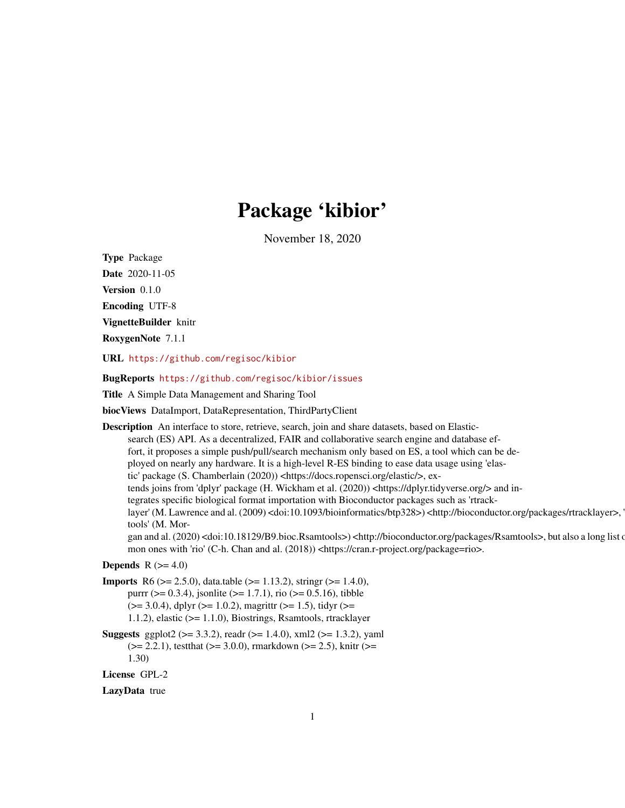## Package 'kibior'

November 18, 2020

<span id="page-0-0"></span>Type Package

Date 2020-11-05

Version 0.1.0

Encoding UTF-8

VignetteBuilder knitr

RoxygenNote 7.1.1

URL <https://github.com/regisoc/kibior>

BugReports <https://github.com/regisoc/kibior/issues>

Title A Simple Data Management and Sharing Tool

biocViews DataImport, DataRepresentation, ThirdPartyClient

Description An interface to store, retrieve, search, join and share datasets, based on Elasticsearch (ES) API. As a decentralized, FAIR and collaborative search engine and database effort, it proposes a simple push/pull/search mechanism only based on ES, a tool which can be deployed on nearly any hardware. It is a high-level R-ES binding to ease data usage using 'elastic' package (S. Chamberlain (2020)) <https://docs.ropensci.org/elastic/>, extends joins from 'dplyr' package (H. Wickham et al. (2020)) <https://dplyr.tidyverse.org/> and integrates specific biological format importation with Bioconductor packages such as 'rtracklayer' (M. Lawrence and al. (2009) <doi:10.1093/bioinformatics/btp328>) <http://bioconductor.org/packages/rtracklayer>, tools' (M. Morgan and al. (2020) <doi:10.18129/B9.bioc.Rsamtools>) <http://bioconductor.org/packages/Rsamtools>, but also a long list of mon ones with 'rio' (C-h. Chan and al. (2018)) <https://cran.r-project.org/package=rio>. **Depends**  $R$  ( $>= 4.0$ ) **Imports** R6 ( $>= 2.5.0$ ), data.table ( $>= 1.13.2$ ), string ( $>= 1.4.0$ ),

purrr ( $> = 0.3.4$ ), jsonlite ( $> = 1.7.1$ ), rio ( $> = 0.5.16$ ), tibble  $(>= 3.0.4)$ , dplyr  $(>= 1.0.2)$ , magrittr  $(>= 1.5)$ , tidyr  $(>= 1.5)$ 1.1.2), elastic (>= 1.1.0), Biostrings, Rsamtools, rtracklayer

**Suggests** ggplot2 ( $> = 3.3.2$ ), readr ( $> = 1.4.0$ ), xml2 ( $> = 1.3.2$ ), yaml  $(>= 2.2.1)$ , testthat  $(>= 3.0.0)$ , rmarkdown  $(>= 2.5)$ , knitr  $(>= 1.5)$ 1.30)

License GPL-2

LazyData true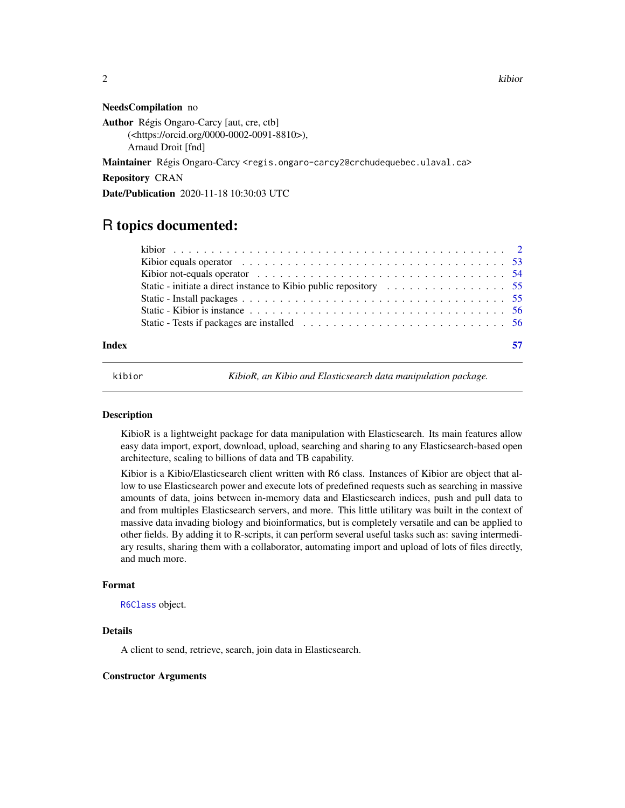2 kibior kalendar koʻrsan asl asl asl asl asl asl asl asl as a strong strong strong strong strong strong strong strong strong strong strong strong strong strong strong strong strong strong strong strong strong strong stron

#### NeedsCompilation no

Author Régis Ongaro-Carcy [aut, cre, ctb] (<https://orcid.org/0000-0002-0091-8810>), Arnaud Droit [fnd]

Maintainer Régis Ongaro-Carcy <regis.ongaro-carcy2@crchudequebec.ulaval.ca>

Repository CRAN

Date/Publication 2020-11-18 10:30:03 UTC

## R topics documented:

| Kibior equals operator $\dots \dots \dots \dots \dots \dots \dots \dots \dots \dots \dots \dots \dots \dots \dots$ 53 |
|-----------------------------------------------------------------------------------------------------------------------|
| Kibior not-equals operator $\dots \dots \dots \dots \dots \dots \dots \dots \dots \dots \dots \dots \dots \dots$ 54   |
|                                                                                                                       |
|                                                                                                                       |
|                                                                                                                       |
|                                                                                                                       |
|                                                                                                                       |

## **Index** [57](#page-56-0)

<span id="page-1-1"></span>

kibior *KibioR, an Kibio and Elasticsearch data manipulation package.*

#### Description

KibioR is a lightweight package for data manipulation with Elasticsearch. Its main features allow easy data import, export, download, upload, searching and sharing to any Elasticsearch-based open architecture, scaling to billions of data and TB capability.

Kibior is a Kibio/Elasticsearch client written with R6 class. Instances of Kibior are object that allow to use Elasticsearch power and execute lots of predefined requests such as searching in massive amounts of data, joins between in-memory data and Elasticsearch indices, push and pull data to and from multiples Elasticsearch servers, and more. This little utilitary was built in the context of massive data invading biology and bioinformatics, but is completely versatile and can be applied to other fields. By adding it to R-scripts, it can perform several useful tasks such as: saving intermediary results, sharing them with a collaborator, automating import and upload of lots of files directly, and much more.

## Format

[R6Class](#page-0-0) object.

## Details

A client to send, retrieve, search, join data in Elasticsearch.

#### Constructor Arguments

<span id="page-1-0"></span>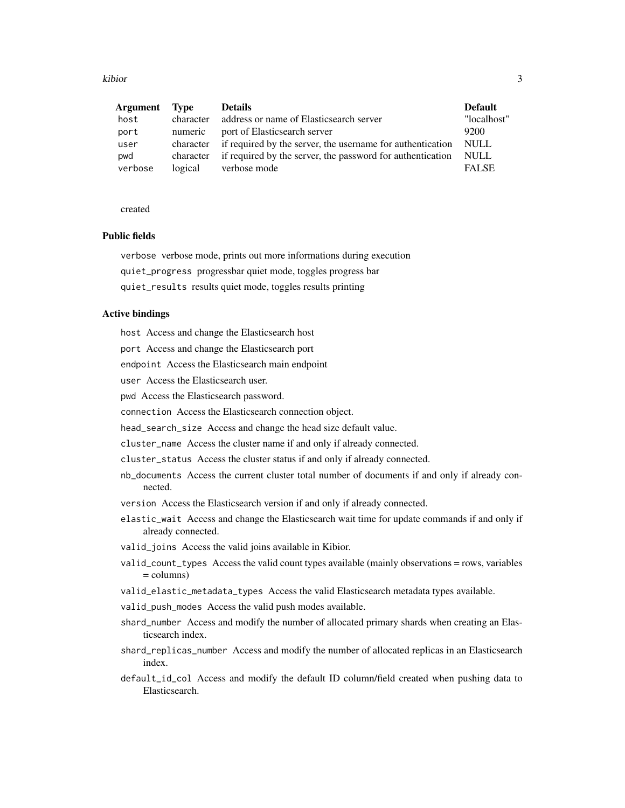kibior 30 anisotrophysics and the set of the set of the set of the set of the set of the set of the set of the set of the set of the set of the set of the set of the set of the set of the set of the set of the set of the s

| Argument | Type      | <b>Details</b>                                                       | <b>Default</b> |
|----------|-----------|----------------------------------------------------------------------|----------------|
| host     | character | address or name of Elasticsearch server                              | "localhost"    |
| port     | numeric   | port of Elasticsearch server                                         | 9200           |
| user     |           | character if required by the server, the username for authentication | – NULL         |
| pwd      |           | character if required by the server, the password for authentication | NULL           |
| verbose  | logical   | verbose mode                                                         | <b>FALSE</b>   |

created

## Public fields

verbose verbose mode, prints out more informations during execution quiet\_progress progressbar quiet mode, toggles progress bar quiet\_results results quiet mode, toggles results printing

## Active bindings

host Access and change the Elasticsearch host

port Access and change the Elasticsearch port

endpoint Access the Elasticsearch main endpoint

user Access the Elasticsearch user.

pwd Access the Elasticsearch password.

connection Access the Elasticsearch connection object.

head\_search\_size Access and change the head size default value.

cluster\_name Access the cluster name if and only if already connected.

cluster\_status Access the cluster status if and only if already connected.

- nb\_documents Access the current cluster total number of documents if and only if already connected.
- version Access the Elasticsearch version if and only if already connected.

elastic\_wait Access and change the Elasticsearch wait time for update commands if and only if already connected.

valid\_joins Access the valid joins available in Kibior.

- valid\_count\_types Access the valid count types available (mainly observations = rows, variables  $=$  columns)
- valid\_elastic\_metadata\_types Access the valid Elasticsearch metadata types available.
- valid\_push\_modes Access the valid push modes available.
- shard\_number Access and modify the number of allocated primary shards when creating an Elasticsearch index.
- shard\_replicas\_number Access and modify the number of allocated replicas in an Elasticsearch index.
- default\_id\_col Access and modify the default ID column/field created when pushing data to Elasticsearch.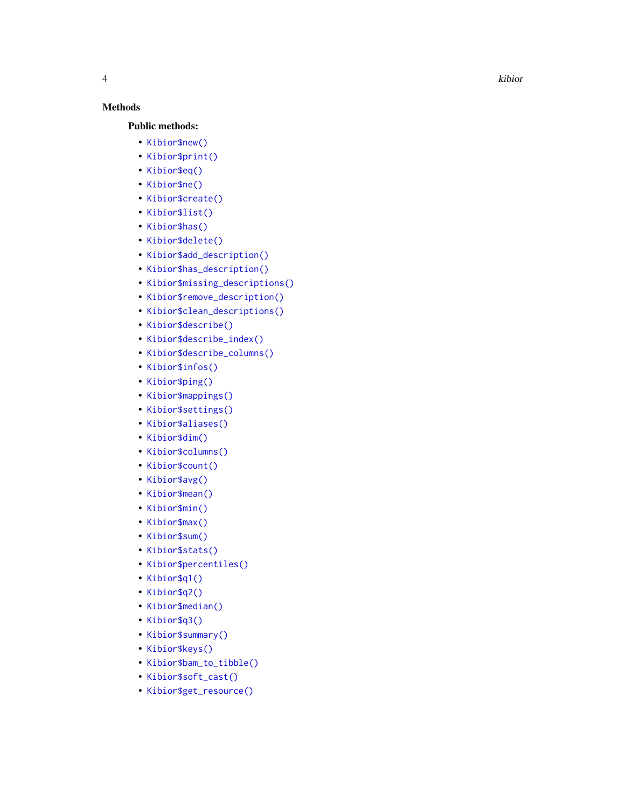## Methods

## Public methods:

- [Kibior\\$new\(\)](#page-4-0)
- [Kibior\\$print\(\)](#page-5-0)
- [Kibior\\$eq\(\)](#page-6-0)
- [Kibior\\$ne\(\)](#page-6-1)
- [Kibior\\$create\(\)](#page-6-2)
- [Kibior\\$list\(\)](#page-7-0)
- [Kibior\\$has\(\)](#page-7-1)
- [Kibior\\$delete\(\)](#page-7-2)
- [Kibior\\$add\\_description\(\)](#page-8-0)
- [Kibior\\$has\\_description\(\)](#page-9-0)
- [Kibior\\$missing\\_descriptions\(\)](#page-10-0)
- [Kibior\\$remove\\_description\(\)](#page-10-1)
- [Kibior\\$clean\\_descriptions\(\)](#page-10-2)
- [Kibior\\$describe\(\)](#page-10-3)
- [Kibior\\$describe\\_index\(\)](#page-11-0)
- [Kibior\\$describe\\_columns\(\)](#page-11-1)
- [Kibior\\$infos\(\)](#page-11-2)
- [Kibior\\$ping\(\)](#page-12-0)
- [Kibior\\$mappings\(\)](#page-12-1)
- [Kibior\\$settings\(\)](#page-12-2)
- [Kibior\\$aliases\(\)](#page-13-0)
- [Kibior\\$dim\(\)](#page-13-1)
- [Kibior\\$columns\(\)](#page-13-2)
- [Kibior\\$count\(\)](#page-14-0)
- [Kibior\\$avg\(\)](#page-14-1)
- [Kibior\\$mean\(\)](#page-15-0)
- [Kibior\\$min\(\)](#page-15-1)
- [Kibior\\$max\(\)](#page-16-0)
- [Kibior\\$sum\(\)](#page-16-1)
- [Kibior\\$stats\(\)](#page-17-0)
- [Kibior\\$percentiles\(\)](#page-17-1)
- [Kibior\\$q1\(\)](#page-18-0)
- [Kibior\\$q2\(\)](#page-18-1)
- [Kibior\\$median\(\)](#page-19-0)
- [Kibior\\$q3\(\)](#page-19-1)
- [Kibior\\$summary\(\)](#page-20-0)
- [Kibior\\$keys\(\)](#page-20-1)
- [Kibior\\$bam\\_to\\_tibble\(\)](#page-20-2)
- [Kibior\\$soft\\_cast\(\)](#page-21-0)
- [Kibior\\$get\\_resource\(\)](#page-21-1)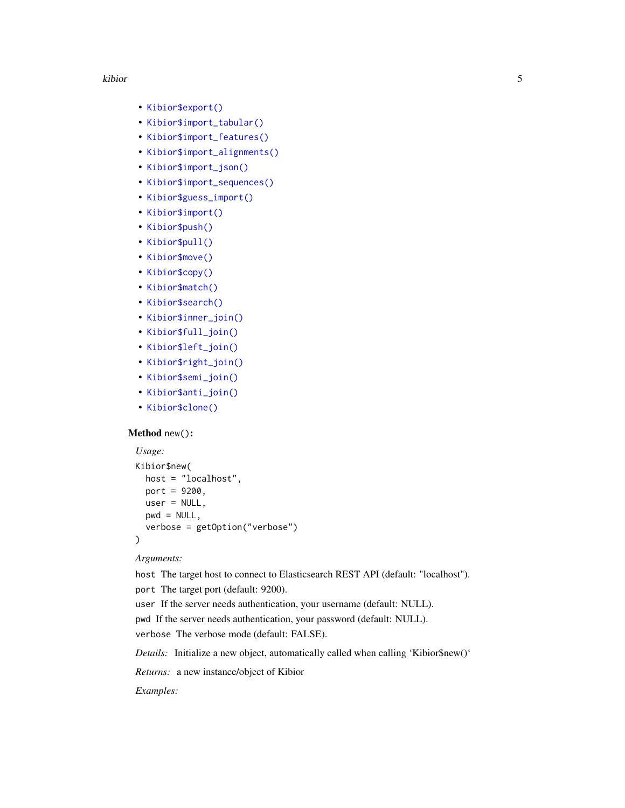#### kibior 50 to 1999 and 2009 and 2009 and 2009 and 2009 and 2009 and 2009 and 2009 and 2009 and 2009 and 2009 and 2009 and 2009 and 2009 and 2009 and 2009 and 2009 and 2009 and 2009 and 2009 and 2009 and 2009 and 2009 and 20

- [Kibior\\$export\(\)](#page-22-0)
- [Kibior\\$import\\_tabular\(\)](#page-22-1)
- [Kibior\\$import\\_features\(\)](#page-23-0)
- [Kibior\\$import\\_alignments\(\)](#page-23-1)
- [Kibior\\$import\\_json\(\)](#page-24-0)
- [Kibior\\$import\\_sequences\(\)](#page-24-1)
- [Kibior\\$guess\\_import\(\)](#page-25-0)
- [Kibior\\$import\(\)](#page-25-1)
- [Kibior\\$push\(\)](#page-26-0)
- [Kibior\\$pull\(\)](#page-27-0)
- [Kibior\\$move\(\)](#page-28-0)
- [Kibior\\$copy\(\)](#page-29-0)
- [Kibior\\$match\(\)](#page-29-1)
- [Kibior\\$search\(\)](#page-30-0)
- [Kibior\\$inner\\_join\(\)](#page-31-0)
- [Kibior\\$full\\_join\(\)](#page-31-1)
- [Kibior\\$left\\_join\(\)](#page-32-0)
- [Kibior\\$right\\_join\(\)](#page-32-1)
- [Kibior\\$semi\\_join\(\)](#page-33-0)
- [Kibior\\$anti\\_join\(\)](#page-33-1)
- [Kibior\\$clone\(\)](#page-34-0)

#### <span id="page-4-0"></span>Method new():

```
Usage:
Kibior$new(
 host = "localhost",
 port = 9200,
 user = NULL,
 pwd = NULL,
  verbose = getOption("verbose")
)
```
#### *Arguments:*

host The target host to connect to Elasticsearch REST API (default: "localhost"). port The target port (default: 9200).

user If the server needs authentication, your username (default: NULL).

pwd If the server needs authentication, your password (default: NULL).

verbose The verbose mode (default: FALSE).

*Details:* Initialize a new object, automatically called when calling 'Kibior\$new()'

*Returns:* a new instance/object of Kibior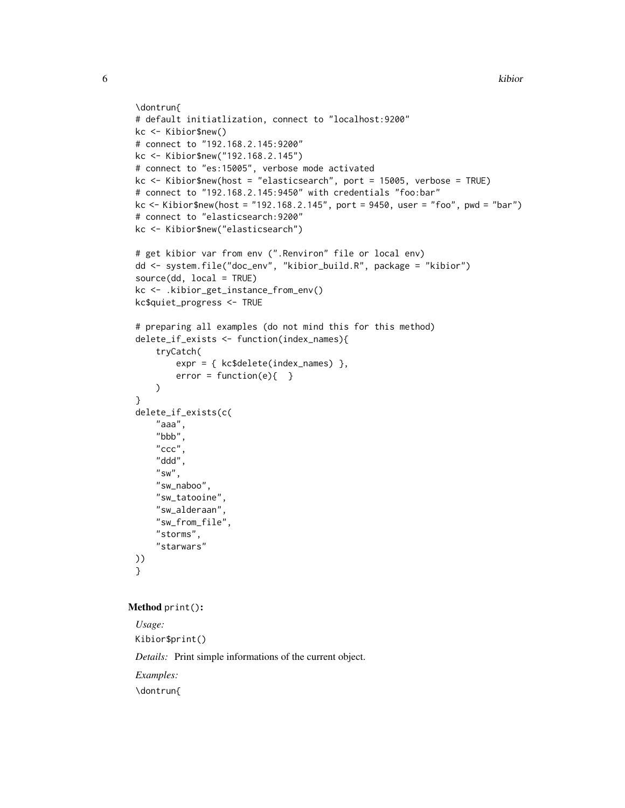```
\dontrun{
# default initiatlization, connect to "localhost:9200"
kc <- Kibior$new()
# connect to "192.168.2.145:9200"
kc <- Kibior$new("192.168.2.145")
# connect to "es:15005", verbose mode activated
kc <- Kibior$new(host = "elasticsearch", port = 15005, verbose = TRUE)
# connect to "192.168.2.145:9450" with credentials "foo:bar"
kc <- Kibior$new(host = "192.168.2.145", port = 9450, user = "foo", pwd = "bar")
# connect to "elasticsearch:9200"
kc <- Kibior$new("elasticsearch")
# get kibior var from env (".Renviron" file or local env)
dd <- system.file("doc_env", "kibior_build.R", package = "kibior")
source(dd, local = TRUE)
kc <- .kibior_get_instance_from_env()
kc$quiet_progress <- TRUE
# preparing all examples (do not mind this for this method)
delete_if_exists <- function(index_names){
    tryCatch(
        expr = { kc$delete(index_names) },
        error = function(e){ }
    )
}
delete_if_exists(c(
    "aaa",
    "bbb",
    "ccc",
    "ddd",
    "sw",
    "sw_naboo",
    "sw_tatooine",
    "sw_alderaan",
    "sw_from_file",
    "storms",
    "starwars"
))
}
```
#### <span id="page-5-0"></span>Method print():

*Usage:* Kibior\$print() *Details:* Print simple informations of the current object. *Examples:* \dontrun{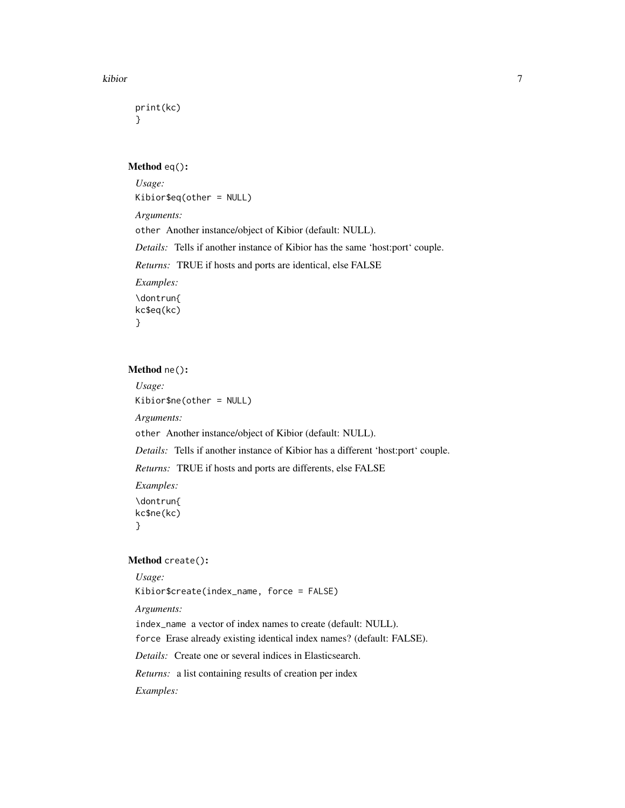```
print(kc)
}
```
#### <span id="page-6-0"></span>Method eq():

*Usage:* Kibior\$eq(other = NULL) *Arguments:* other Another instance/object of Kibior (default: NULL). *Details:* Tells if another instance of Kibior has the same 'host:port' couple. *Returns:* TRUE if hosts and ports are identical, else FALSE *Examples:* \dontrun{ kc\$eq(kc) }

## <span id="page-6-1"></span>Method ne():

*Usage:* Kibior\$ne(other = NULL) *Arguments:* other Another instance/object of Kibior (default: NULL). *Details:* Tells if another instance of Kibior has a different 'host:port' couple. *Returns:* TRUE if hosts and ports are differents, else FALSE *Examples:* \dontrun{ kc\$ne(kc) }

### <span id="page-6-2"></span>Method create():

*Usage:*

Kibior\$create(index\_name, force = FALSE)

*Arguments:*

index\_name a vector of index names to create (default: NULL).

force Erase already existing identical index names? (default: FALSE).

*Details:* Create one or several indices in Elasticsearch.

*Returns:* a list containing results of creation per index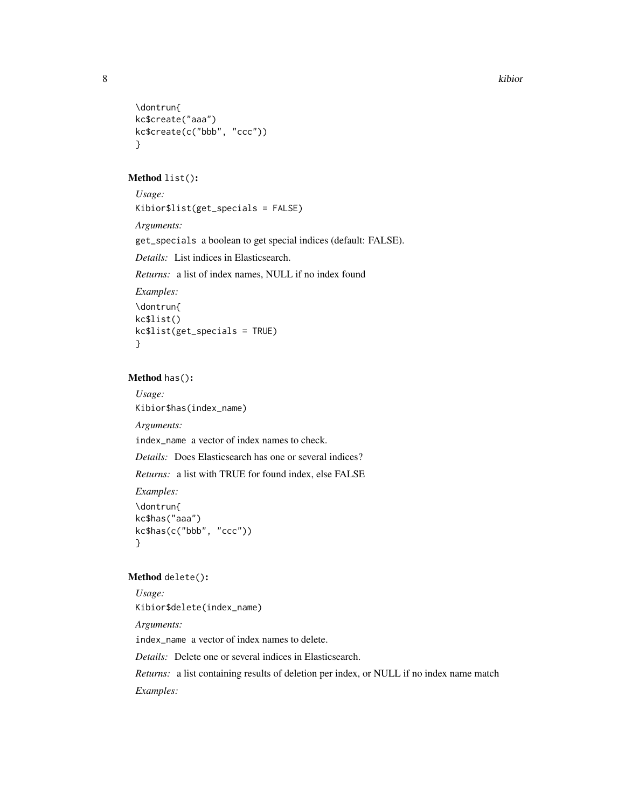```
\dontrun{
kc$create("aaa")
kc$create(c("bbb", "ccc"))
}
```
#### <span id="page-7-0"></span>Method list():

```
Usage:
Kibior$list(get_specials = FALSE)
Arguments:
get_specials a boolean to get special indices (default: FALSE).
Details: List indices in Elasticsearch.
```
*Returns:* a list of index names, NULL if no index found

```
Examples:
\dontrun{
kc$list()
kc$list(get_specials = TRUE)
}
```
## <span id="page-7-1"></span>Method has():

*Usage:* Kibior\$has(index\_name) *Arguments:*

index\_name a vector of index names to check.

*Details:* Does Elasticsearch has one or several indices?

*Returns:* a list with TRUE for found index, else FALSE

*Examples:* \dontrun{ kc\$has("aaa") kc\$has(c("bbb", "ccc")) }

## <span id="page-7-2"></span>Method delete():

*Usage:* Kibior\$delete(index\_name) *Arguments:* index\_name a vector of index names to delete. *Details:* Delete one or several indices in Elasticsearch. *Returns:* a list containing results of deletion per index, or NULL if no index name match *Examples:*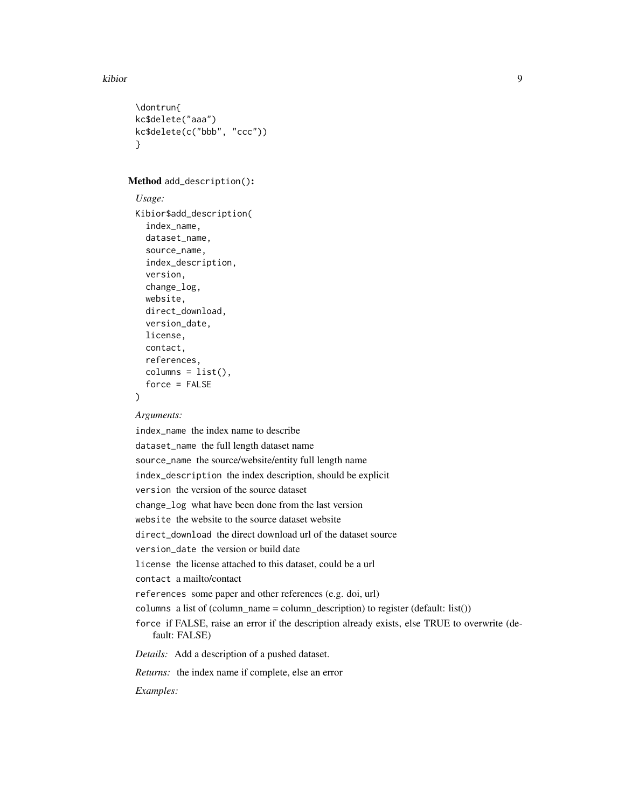```
\dontrun{
kc$delete("aaa")
kc$delete(c("bbb", "ccc"))
}
```
## <span id="page-8-0"></span>Method add\_description():

```
Usage:
Kibior$add_description(
  index_name,
  dataset_name,
  source_name,
  index_description,
  version,
  change_log,
  website,
  direct_download,
  version_date,
  license,
  contact,
  references,
  columns = list(),force = FALSE\lambda
```
## *Arguments:*

index\_name the index name to describe dataset\_name the full length dataset name source\_name the source/website/entity full length name index\_description the index description, should be explicit version the version of the source dataset change\_log what have been done from the last version website the website to the source dataset website direct\_download the direct download url of the dataset source version\_date the version or build date license the license attached to this dataset, could be a url contact a mailto/contact references some paper and other references (e.g. doi, url) columns a list of (column\_name = column\_description) to register (default: list()) force if FALSE, raise an error if the description already exists, else TRUE to overwrite (default: FALSE) *Details:* Add a description of a pushed dataset. *Returns:* the index name if complete, else an error *Examples:*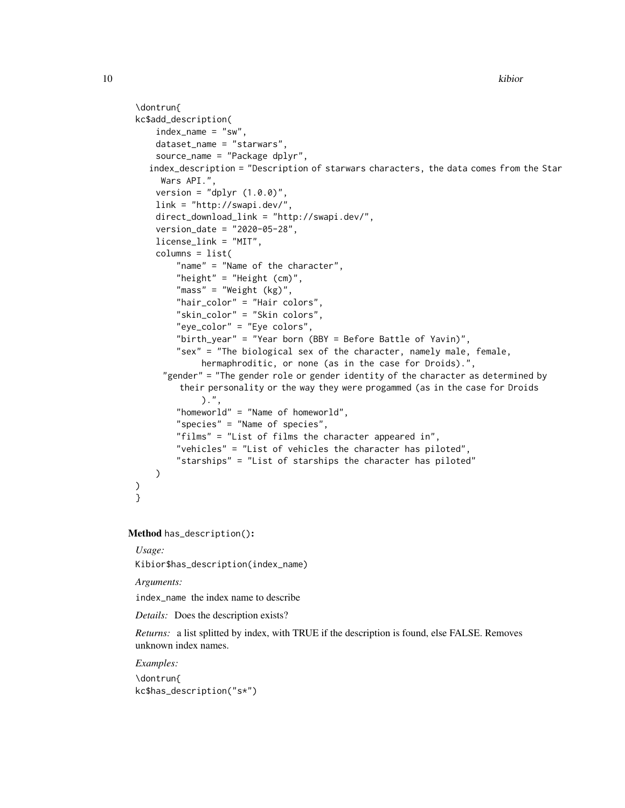```
\dontrun{
 kc$add_description(
     index_name = "sw",dataset_name = "starwars",
     source_name = "Package dplyr",
    index_description = "Description of starwars characters, the data comes from the Star
      Wars API.",
     version = "dplyr (1.0.0)",
     link = "http://swapi.dev/",
     direct_download_link = "http://swapi.dev/",
     version_date = "2020-05-28",
     license_link = "MIT",
     columns = list(
         "name" = "Name of the character",
         "height" = "Height (cm)",
         "mass" = "Weight (kg)",
         "hair_color" = "Hair colors",
         "skin_color" = "Skin colors",
         "eye_color" = "Eye colors",
         "birth_year" = "Year born (BBY = Before Battle of Yavin)",
         "sex" = "The biological sex of the character, namely male, female,
              hermaphroditic, or none (as in the case for Droids).",
       "gender" = "The gender role or gender identity of the character as determined by
          their personality or the way they were progammed (as in the case for Droids
              ).",
         "homeworld" = "Name of homeworld",
         "species" = "Name of species",
         "films" = "List of films the character appeared in",
         "vehicles" = "List of vehicles the character has piloted",
         "starships" = "List of starships the character has piloted"
     )
 )
 }
Method has_description():
```
<span id="page-9-0"></span>*Usage:*

Kibior\$has\_description(index\_name)

*Arguments:*

index\_name the index name to describe

*Details:* Does the description exists?

*Returns:* a list splitted by index, with TRUE if the description is found, else FALSE. Removes unknown index names.

*Examples:*

\dontrun{ kc\$has\_description("s\*")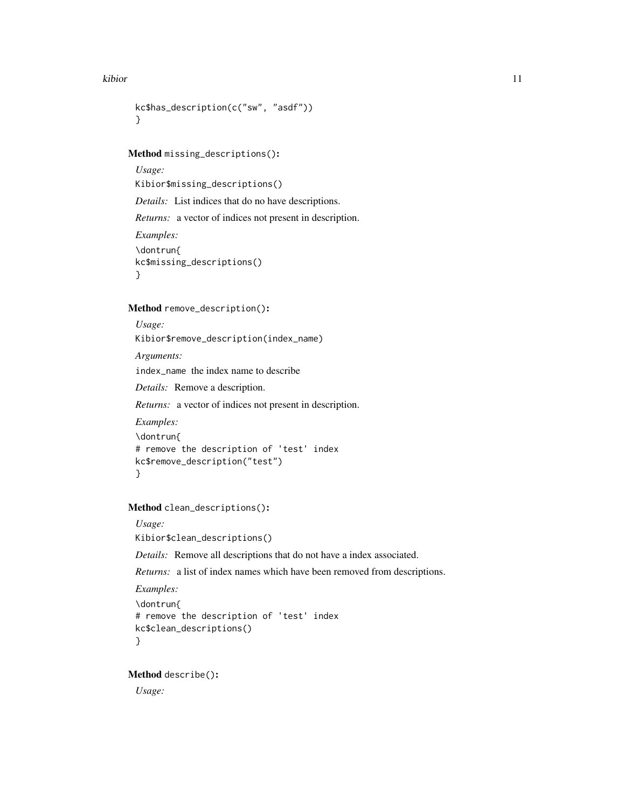#### kibior that the contract of the contract of the contract of the contract of the contract of the contract of the contract of the contract of the contract of the contract of the contract of the contract of the contract of th

```
kc$has_description(c("sw", "asdf"))
}
```
<span id="page-10-0"></span>Method missing\_descriptions():

*Usage:* Kibior\$missing\_descriptions() *Details:* List indices that do no have descriptions. *Returns:* a vector of indices not present in description. *Examples:* \dontrun{ kc\$missing\_descriptions() }

<span id="page-10-1"></span>Method remove\_description():

```
Usage:
Kibior$remove_description(index_name)
Arguments:
index_name the index name to describe
Details: Remove a description.
Returns: a vector of indices not present in description.
Examples:
\dontrun{
# remove the description of 'test' index
kc$remove_description("test")
```

```
}
```
<span id="page-10-2"></span>Method clean\_descriptions():

```
Usage:
Kibior$clean_descriptions()
```
*Details:* Remove all descriptions that do not have a index associated.

*Returns:* a list of index names which have been removed from descriptions.

```
Examples:
\dontrun{
# remove the description of 'test' index
kc$clean_descriptions()
}
```
<span id="page-10-3"></span>Method describe():

*Usage:*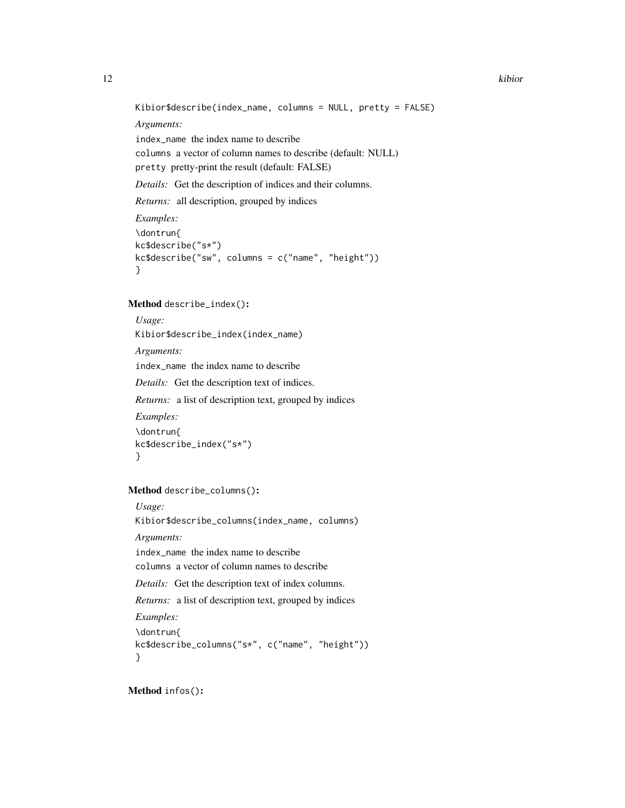Kibior\$describe(index\_name, columns = NULL, pretty = FALSE)

*Arguments:*

index\_name the index name to describe

columns a vector of column names to describe (default: NULL)

pretty pretty-print the result (default: FALSE)

*Details:* Get the description of indices and their columns.

*Returns:* all description, grouped by indices

```
Examples:
\dontrun{
kc$describe("s*")
kc$describe("sw", columns = c("name", "height"))
}
```
#### <span id="page-11-0"></span>Method describe\_index():

```
Usage:
Kibior$describe_index(index_name)
Arguments:
index_name the index name to describe
Details: Get the description text of indices.
Returns: a list of description text, grouped by indices
Examples:
\dontrun{
kc$describe_index("s*")
}
```

```
Method describe_columns():
```
*Usage:*

Kibior\$describe\_columns(index\_name, columns)

*Arguments:*

index\_name the index name to describe

columns a vector of column names to describe

*Details:* Get the description text of index columns.

*Returns:* a list of description text, grouped by indices

*Examples:*

\dontrun{ kc\$describe\_columns("s\*", c("name", "height")) }

<span id="page-11-2"></span>Method infos():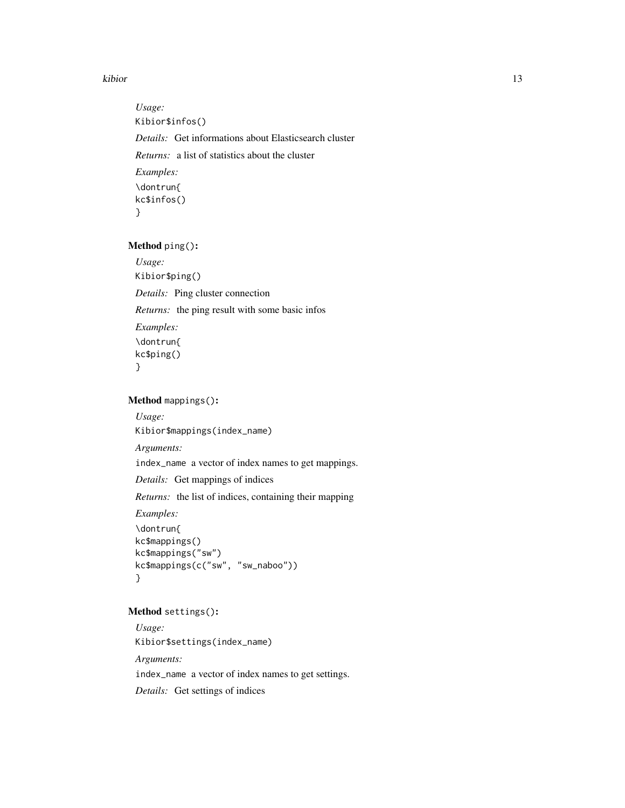#### kibior that is a set of the set of the set of the set of the set of the set of the set of the set of the set of the set of the set of the set of the set of the set of the set of the set of the set of the set of the set of

*Usage:* Kibior\$infos() *Details:* Get informations about Elasticsearch cluster *Returns:* a list of statistics about the cluster *Examples:* \dontrun{ kc\$infos() }

<span id="page-12-0"></span>Method ping():

*Usage:* Kibior\$ping() *Details:* Ping cluster connection *Returns:* the ping result with some basic infos *Examples:* \dontrun{ kc\$ping() }

<span id="page-12-1"></span>Method mappings():

*Usage:* Kibior\$mappings(index\_name) *Arguments:* index\_name a vector of index names to get mappings. *Details:* Get mappings of indices *Returns:* the list of indices, containing their mapping *Examples:* \dontrun{

```
kc$mappings()
kc$mappings("sw")
kc$mappings(c("sw", "sw_naboo"))
}
```
## <span id="page-12-2"></span>Method settings():

*Usage:* Kibior\$settings(index\_name) *Arguments:* index\_name a vector of index names to get settings. *Details:* Get settings of indices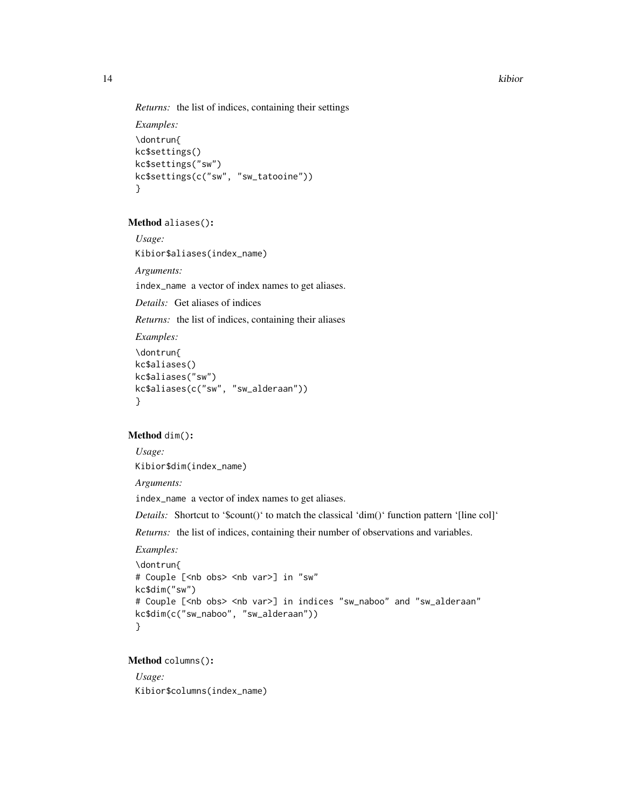```
Returns: the list of indices, containing their settings
```

```
Examples:
\dontrun{
kc$settings()
kc$settings("sw")
kc$settings(c("sw", "sw_tatooine"))
}
```
#### <span id="page-13-0"></span>Method aliases():

*Usage:*

Kibior\$aliases(index\_name)

*Arguments:*

index\_name a vector of index names to get aliases.

*Details:* Get aliases of indices

*Returns:* the list of indices, containing their aliases

## *Examples:* \dontrun{ kc\$aliases()

```
kc$aliases("sw")
kc$aliases(c("sw", "sw_alderaan"))
}
```
## <span id="page-13-1"></span>Method dim():

*Usage:* Kibior\$dim(index\_name)

*Arguments:*

index\_name a vector of index names to get aliases.

Details: Shortcut to '\$count()' to match the classical 'dim()' function pattern '[line col]'

*Returns:* the list of indices, containing their number of observations and variables.

*Examples:*

```
\dontrun{
# Couple [<nb obs> <nb var>] in "sw"
kc$dim("sw")
# Couple [<nb obs> <nb var>] in indices "sw_naboo" and "sw_alderaan"
kc$dim(c("sw_naboo", "sw_alderaan"))
}
```
## <span id="page-13-2"></span>Method columns():

*Usage:* Kibior\$columns(index\_name)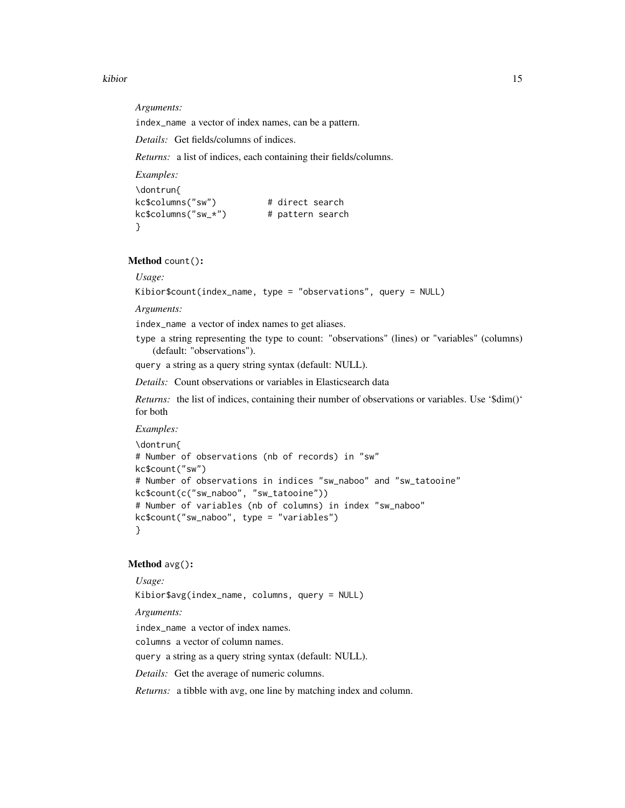kibior that is a set of the set of the set of the set of the set of the set of the set of the set of the set of the set of the set of the set of the set of the set of the set of the set of the set of the set of the set of

*Arguments:*

index\_name a vector of index names, can be a pattern.

*Details:* Get fields/columns of indices.

*Returns:* a list of indices, each containing their fields/columns.

```
Examples:
\dontrun{
kc$columns("sw") # direct search
kc$columns("sw_*") # pattern search
}
```
<span id="page-14-0"></span>Method count():

*Usage:*

```
Kibior$count(index_name, type = "observations", query = NULL)
```
*Arguments:*

index\_name a vector of index names to get aliases.

type a string representing the type to count: "observations" (lines) or "variables" (columns) (default: "observations").

query a string as a query string syntax (default: NULL).

*Details:* Count observations or variables in Elasticsearch data

*Returns:* the list of indices, containing their number of observations or variables. Use '\$dim()' for both

#### *Examples:*

```
\dontrun{
# Number of observations (nb of records) in "sw"
kc$count("sw")
# Number of observations in indices "sw_naboo" and "sw_tatooine"
kc$count(c("sw_naboo", "sw_tatooine"))
# Number of variables (nb of columns) in index "sw_naboo"
kc$count("sw_naboo", type = "variables")
}
```
#### <span id="page-14-1"></span>Method avg():

*Usage:* Kibior\$avg(index\_name, columns, query = NULL) *Arguments:* index\_name a vector of index names. columns a vector of column names. query a string as a query string syntax (default: NULL). *Details:* Get the average of numeric columns. *Returns:* a tibble with avg, one line by matching index and column.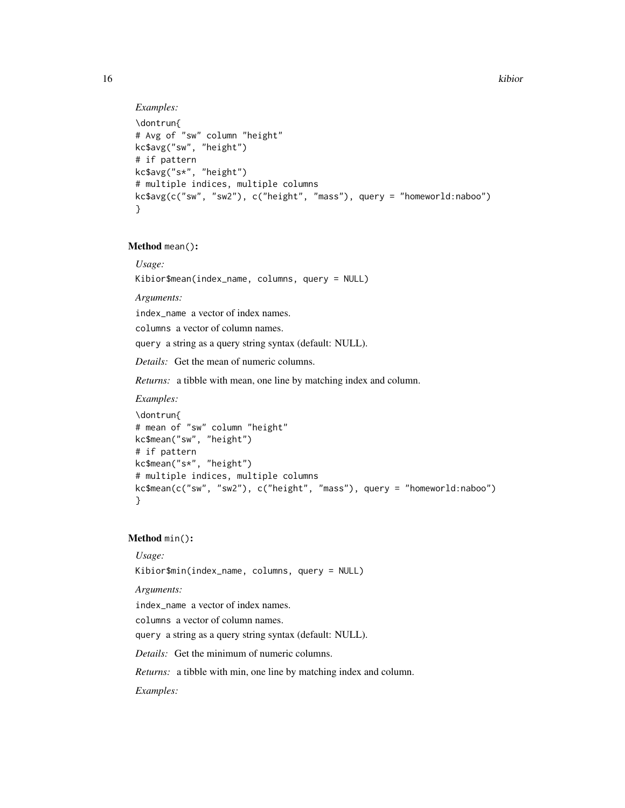```
Examples:
\dontrun{
```

```
# Avg of "sw" column "height"
kc$avg("sw", "height")
# if pattern
kc$avg("s*", "height")
# multiple indices, multiple columns
kc$avg(c("sw", "sw2"), c("height", "mass"), query = "homeworld:naboo")
}
```
<span id="page-15-0"></span>Method mean():

*Usage:*

Kibior\$mean(index\_name, columns, query = NULL)

*Arguments:*

index\_name a vector of index names.

columns a vector of column names.

query a string as a query string syntax (default: NULL).

*Details:* Get the mean of numeric columns.

*Returns:* a tibble with mean, one line by matching index and column.

#### *Examples:*

```
\dontrun{
# mean of "sw" column "height"
kc$mean("sw", "height")
# if pattern
kc$mean("s*", "height")
# multiple indices, multiple columns
kc$mean(c("sw", "sw2"), c("height", "mass"), query = "homeworld:naboo")
}
```
## <span id="page-15-1"></span>Method min():

#### *Usage:*

Kibior\$min(index\_name, columns, query = NULL)

*Arguments:*

index\_name a vector of index names.

columns a vector of column names.

query a string as a query string syntax (default: NULL).

*Details:* Get the minimum of numeric columns.

*Returns:* a tibble with min, one line by matching index and column.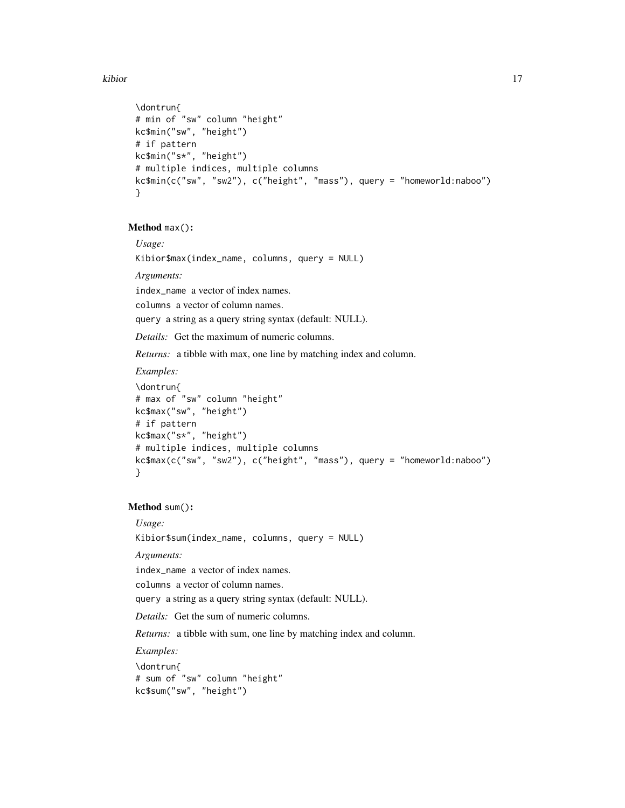#### kibior that the contract of the contract of the contract of the contract of the contract of the contract of the contract of the contract of the contract of the contract of the contract of the contract of the contract of th

```
\dontrun{
# min of "sw" column "height"
kc$min("sw", "height")
# if pattern
kc$min("s*", "height")
# multiple indices, multiple columns
kc$min(c("sw", "sw2"), c("height", "mass"), query = "homeworld:naboo")
}
```
#### <span id="page-16-0"></span>Method max():

*Usage:*

Kibior\$max(index\_name, columns, query = NULL)

*Arguments:*

index\_name a vector of index names.

columns a vector of column names.

query a string as a query string syntax (default: NULL).

*Details:* Get the maximum of numeric columns.

*Returns:* a tibble with max, one line by matching index and column.

#### *Examples:*

```
\dontrun{
# max of "sw" column "height"
kc$max("sw", "height")
# if pattern
kc$max("s*", "height")
# multiple indices, multiple columns
kc$max(c("sw", "sw2"), c("height", "mass"), query = "homeworld:naboo")
}
```
#### <span id="page-16-1"></span>Method sum():

*Usage:*

Kibior\$sum(index\_name, columns, query = NULL)

*Arguments:*

index\_name a vector of index names.

columns a vector of column names.

query a string as a query string syntax (default: NULL).

*Details:* Get the sum of numeric columns.

*Returns:* a tibble with sum, one line by matching index and column.

*Examples:*

\dontrun{ # sum of "sw" column "height" kc\$sum("sw", "height")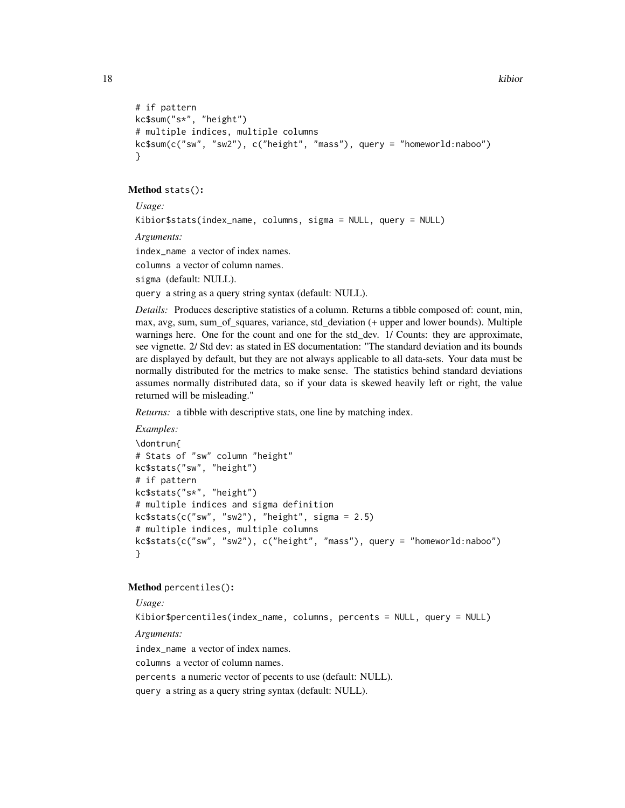```
# if pattern
kc$sum("s*", "height")
# multiple indices, multiple columns
kc$sum(c("sw", "sw2"), c("height", "mass"), query = "homeworld:naboo")
}
```
#### <span id="page-17-0"></span>Method stats():

*Usage:*

Kibior\$stats(index\_name, columns, sigma = NULL, query = NULL)

*Arguments:*

index\_name a vector of index names.

columns a vector of column names.

sigma (default: NULL).

query a string as a query string syntax (default: NULL).

*Details:* Produces descriptive statistics of a column. Returns a tibble composed of: count, min, max, avg, sum, sum\_of\_squares, variance, std\_deviation (+ upper and lower bounds). Multiple warnings here. One for the count and one for the std\_dev. 1/ Counts: they are approximate, see vignette. 2/ Std dev: as stated in ES documentation: "The standard deviation and its bounds are displayed by default, but they are not always applicable to all data-sets. Your data must be normally distributed for the metrics to make sense. The statistics behind standard deviations assumes normally distributed data, so if your data is skewed heavily left or right, the value returned will be misleading."

*Returns:* a tibble with descriptive stats, one line by matching index.

```
Examples:
\dontrun{
# Stats of "sw" column "height"
kc$stats("sw", "height")
# if pattern
kc$stats("s*", "height")
# multiple indices and sigma definition
kc$stats(c("sw", "sw2"), "height", sigma = 2.5)
# multiple indices, multiple columns
kc$stats(c("sw", "sw2"), c("height", "mass"), query = "homeworld:naboo")
}
```
#### <span id="page-17-1"></span>Method percentiles():

*Usage:*

Kibior\$percentiles(index\_name, columns, percents = NULL, query = NULL) *Arguments:* index\_name a vector of index names. columns a vector of column names. percents a numeric vector of pecents to use (default: NULL). query a string as a query string syntax (default: NULL).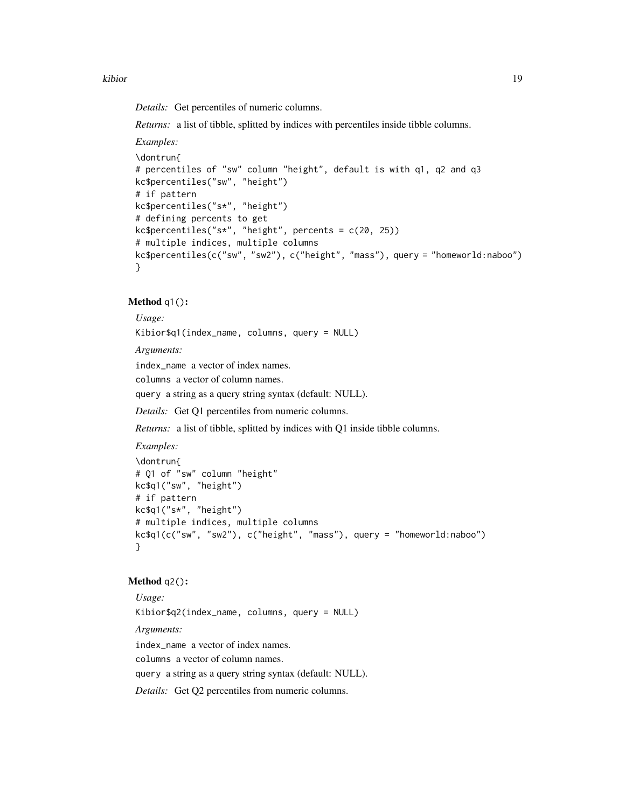#### kibior that the contract of the contract of the contract of the contract of the contract of the contract of the contract of the contract of the contract of the contract of the contract of the contract of the contract of th

*Details:* Get percentiles of numeric columns.

*Returns:* a list of tibble, splitted by indices with percentiles inside tibble columns.

*Examples:*

```
\dontrun{
# percentiles of "sw" column "height", default is with q1, q2 and q3
kc$percentiles("sw", "height")
# if pattern
kc$percentiles("s*", "height")
# defining percents to get
kc$percentiles("s*", "height", percents = c(20, 25))
# multiple indices, multiple columns
kc$percentiles(c("sw", "sw2"), c("height", "mass"), query = "homeworld:naboo")
}
```
## <span id="page-18-0"></span>Method q1():

*Usage:*

Kibior\$q1(index\_name, columns, query = NULL)

*Arguments:*

index\_name a vector of index names.

columns a vector of column names.

query a string as a query string syntax (default: NULL).

*Details:* Get Q1 percentiles from numeric columns.

*Returns:* a list of tibble, splitted by indices with Q1 inside tibble columns.

*Examples:*

```
\dontrun{
# Q1 of "sw" column "height"
kc$q1("sw", "height")
# if pattern
kc$q1("s*", "height")
# multiple indices, multiple columns
kc$q1(c("sw", "sw2"), c("height", "mass"), query = "homeworld:naboo")
}
```
#### <span id="page-18-1"></span>Method q2():

*Usage:* Kibior\$q2(index\_name, columns, query = NULL) *Arguments:* index\_name a vector of index names. columns a vector of column names. query a string as a query string syntax (default: NULL). *Details:* Get Q2 percentiles from numeric columns.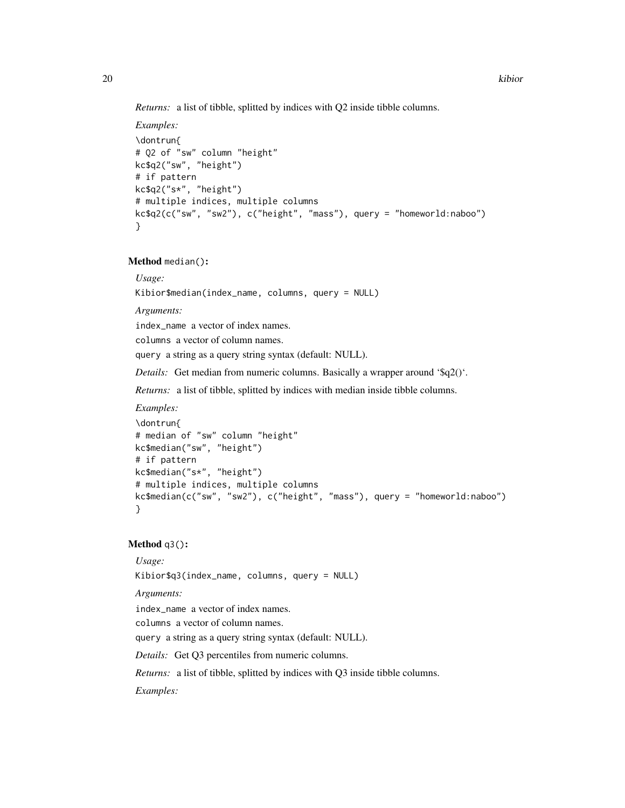*Returns:* a list of tibble, splitted by indices with Q2 inside tibble columns.

```
Examples:
\dontrun{
# Q2 of "sw" column "height"
kc$q2("sw", "height")
# if pattern
kc$q2("s*", "height")
# multiple indices, multiple columns
kc$q2(c("sw", "sw2"), c("height", "mass"), query = "homeworld:naboo")
}
```
<span id="page-19-0"></span>Method median():

*Usage:*

Kibior\$median(index\_name, columns, query = NULL)

*Arguments:*

index\_name a vector of index names.

columns a vector of column names.

query a string as a query string syntax (default: NULL).

*Details:* Get median from numeric columns. Basically a wrapper around '\$q2()'.

*Returns:* a list of tibble, splitted by indices with median inside tibble columns.

*Examples:*

```
\dontrun{
# median of "sw" column "height"
kc$median("sw", "height")
# if pattern
kc$median("s*", "height")
# multiple indices, multiple columns
kc$median(c("sw", "sw2"), c("height", "mass"), query = "homeworld:naboo")
}
```
## <span id="page-19-1"></span>Method q3():

*Usage:*

Kibior\$q3(index\_name, columns, query = NULL)

*Arguments:*

index\_name a vector of index names.

columns a vector of column names.

query a string as a query string syntax (default: NULL).

*Details:* Get Q3 percentiles from numeric columns.

*Returns:* a list of tibble, splitted by indices with Q3 inside tibble columns.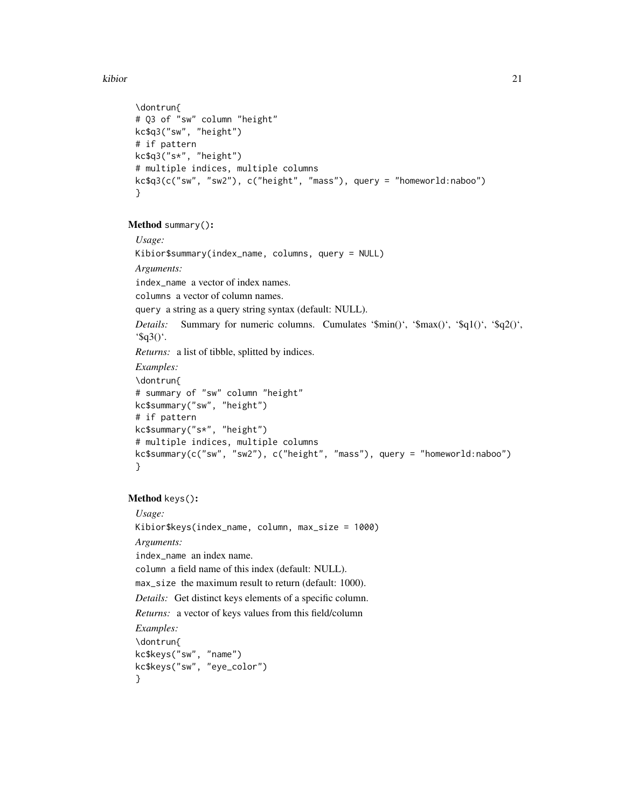```
\dontrun{
# Q3 of "sw" column "height"
kc$q3("sw", "height")
# if pattern
kc$q3("s*", "height")
# multiple indices, multiple columns
kc$q3(c("sw", "sw2"), c("height", "mass"), query = "homeworld:naboo")
}
```
## <span id="page-20-0"></span>Method summary():

*Usage:* Kibior\$summary(index\_name, columns, query = NULL) *Arguments:* index\_name a vector of index names. columns a vector of column names. query a string as a query string syntax (default: NULL). *Details:* Summary for numeric columns. Cumulates '\$min()', '\$max()', '\$q1()', '\$q2()', ' $\$ q3()'. *Returns:* a list of tibble, splitted by indices. *Examples:* \dontrun{ # summary of "sw" column "height" kc\$summary("sw", "height") # if pattern kc\$summary("s\*", "height") # multiple indices, multiple columns kc\$summary(c("sw", "sw2"), c("height", "mass"), query = "homeworld:naboo") }

## <span id="page-20-1"></span>Method keys():

<span id="page-20-2"></span>*Usage:* Kibior\$keys(index\_name, column, max\_size = 1000) *Arguments:* index\_name an index name. column a field name of this index (default: NULL). max\_size the maximum result to return (default: 1000). *Details:* Get distinct keys elements of a specific column. *Returns:* a vector of keys values from this field/column *Examples:* \dontrun{ kc\$keys("sw", "name") kc\$keys("sw", "eye\_color") }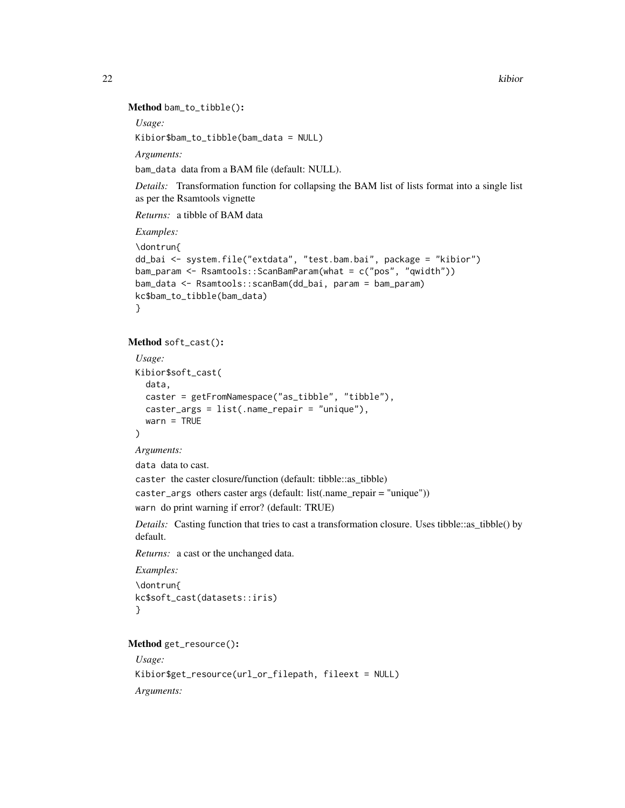#### Method bam\_to\_tibble():

*Usage:*

Kibior\$bam\_to\_tibble(bam\_data = NULL)

*Arguments:*

bam\_data data from a BAM file (default: NULL).

*Details:* Transformation function for collapsing the BAM list of lists format into a single list as per the Rsamtools vignette

*Returns:* a tibble of BAM data

*Examples:*

```
\dontrun{
dd_bai <- system.file("extdata", "test.bam.bai", package = "kibior")
bam_param <- Rsamtools::ScanBamParam(what = c("pos", "qwidth"))
bam_data <- Rsamtools::scanBam(dd_bai, param = bam_param)
kc$bam_to_tibble(bam_data)
}
```
#### <span id="page-21-0"></span>Method soft\_cast():

```
Usage:
Kibior$soft_cast(
  data,
  caster = getFromNamespace("as_tibble", "tibble"),
  caster_args = list(.name_repair = "unique"),
  warn = TRUE
)
Arguments:
```
data data to cast.

caster the caster closure/function (default: tibble::as\_tibble) caster\_args others caster args (default: list(.name\_repair = "unique")) warn do print warning if error? (default: TRUE)

*Details:* Casting function that tries to cast a transformation closure. Uses tibble::as\_tibble() by default.

*Returns:* a cast or the unchanged data.

*Examples:* \dontrun{ kc\$soft\_cast(datasets::iris) }

#### <span id="page-21-1"></span>Method get\_resource():

```
Usage:
Kibior$get_resource(url_or_filepath, fileext = NULL)
Arguments:
```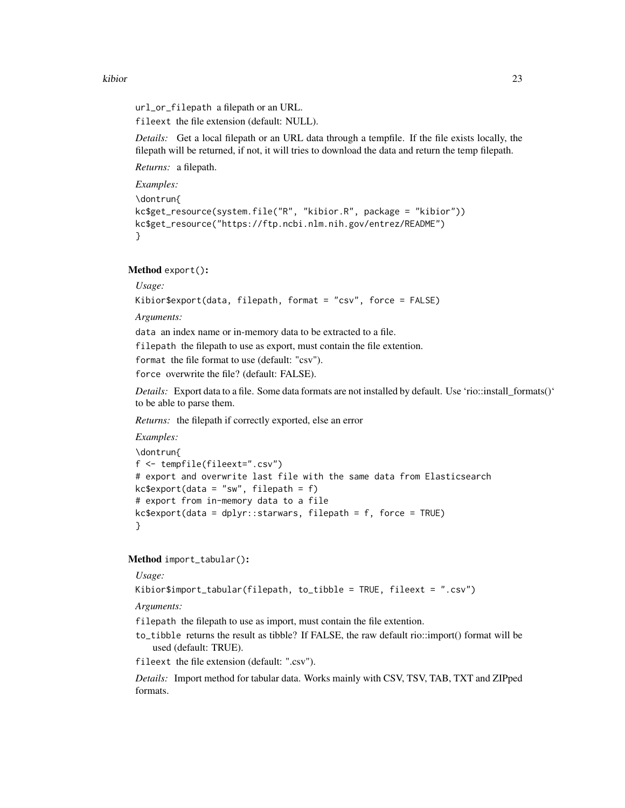url\_or\_filepath a filepath or an URL.

fileext the file extension (default: NULL).

*Details:* Get a local filepath or an URL data through a tempfile. If the file exists locally, the filepath will be returned, if not, it will tries to download the data and return the temp filepath.

*Returns:* a filepath.

*Examples:*

```
\dontrun{
kc$get_resource(system.file("R", "kibior.R", package = "kibior"))
kc$get_resource("https://ftp.ncbi.nlm.nih.gov/entrez/README")
}
```
<span id="page-22-0"></span>Method export():

*Usage:* Kibior\$export(data, filepath, format = "csv", force = FALSE)

*Arguments:*

data an index name or in-memory data to be extracted to a file.

filepath the filepath to use as export, must contain the file extention.

format the file format to use (default: "csv").

force overwrite the file? (default: FALSE).

*Details:* Export data to a file. Some data formats are not installed by default. Use 'rio::install\_formats()' to be able to parse them.

*Returns:* the filepath if correctly exported, else an error

```
Examples:
\dontrun{
```

```
f <- tempfile(fileext=".csv")
# export and overwrite last file with the same data from Elasticsearch
kc$export(data = "sw", filepath = f)
# export from in-memory data to a file
kc$ export(data = dplyr::starvars, filepath = f, force = TRUE)}
```
<span id="page-22-1"></span>Method import\_tabular():

*Usage:*

Kibior\$import\_tabular(filepath, to\_tibble = TRUE, fileext = ".csv")

*Arguments:*

filepath the filepath to use as import, must contain the file extention.

to\_tibble returns the result as tibble? If FALSE, the raw default rio::import() format will be used (default: TRUE).

fileext the file extension (default: ".csv").

*Details:* Import method for tabular data. Works mainly with CSV, TSV, TAB, TXT and ZIPped formats.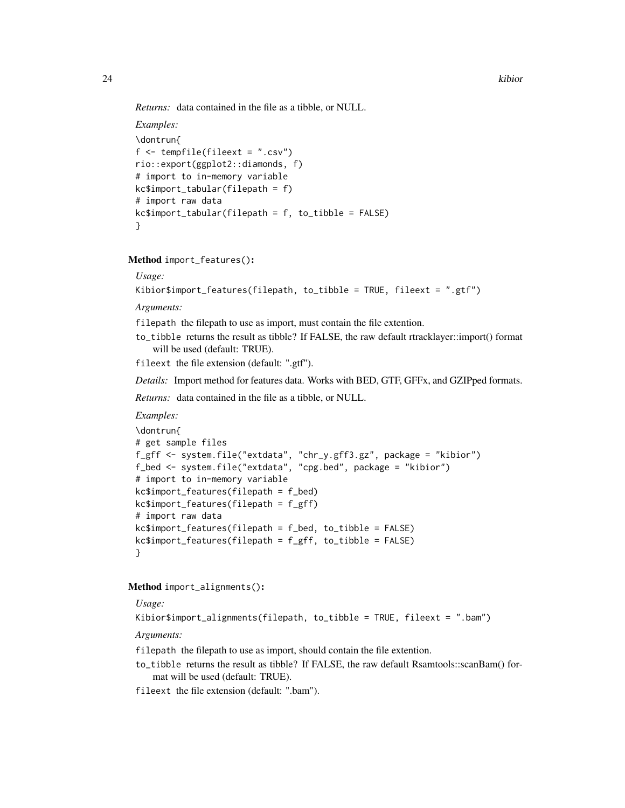*Returns:* data contained in the file as a tibble, or NULL.

```
Examples:
\dontrun{
f <- tempfile(fileext = ".csv")
rio::export(ggplot2::diamonds, f)
# import to in-memory variable
kc$import_tabular(filepath = f)
# import raw data
kc$import_tabular(filepath = f, to_tibble = FALSE)
}
```
<span id="page-23-0"></span>Method import\_features():

*Usage:*

```
Kibior$import_features(filepath, to_tibble = TRUE, fileext = ".gtf")
```
*Arguments:*

filepath the filepath to use as import, must contain the file extention.

to\_tibble returns the result as tibble? If FALSE, the raw default rtracklayer::import() format will be used (default: TRUE).

fileext the file extension (default: ".gtf").

*Details:* Import method for features data. Works with BED, GTF, GFFx, and GZIPped formats.

*Returns:* data contained in the file as a tibble, or NULL.

*Examples:*

```
\dontrun{
# get sample files
f_gff <- system.file("extdata", "chr_y.gff3.gz", package = "kibior")
f_bed <- system.file("extdata", "cpg.bed", package = "kibior")
# import to in-memory variable
kc$import_features(filepath = f_bed)
kc$import_features(filepath = f_gff)
# import raw data
kc$import_features(filepath = f_bed, to_tibble = FALSE)
kc$import_features(filepath = f_gff, to_tibble = FALSE)
}
```
<span id="page-23-1"></span>Method import\_alignments():

*Usage:*

Kibior\$import\_alignments(filepath, to\_tibble = TRUE, fileext = ".bam")

*Arguments:*

filepath the filepath to use as import, should contain the file extention.

to\_tibble returns the result as tibble? If FALSE, the raw default Rsamtools::scanBam() format will be used (default: TRUE).

fileext the file extension (default: ".bam").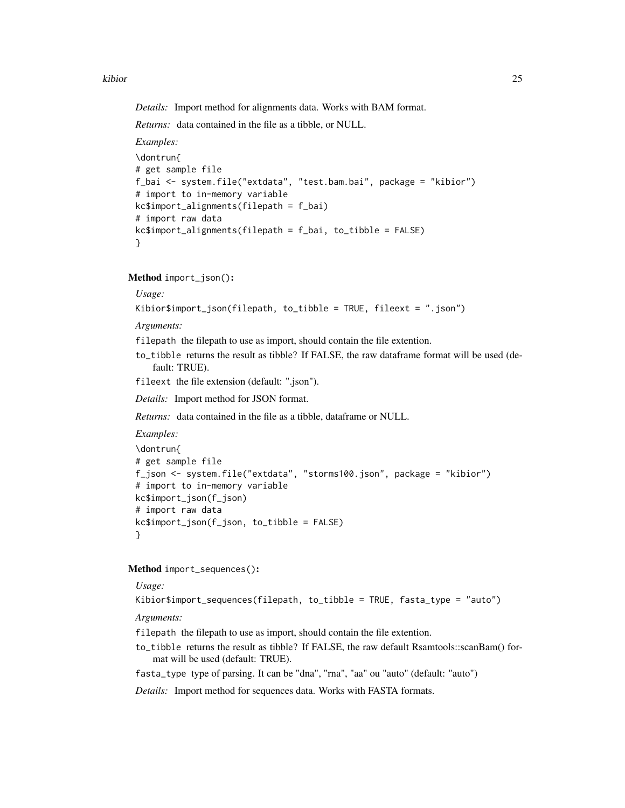*Details:* Import method for alignments data. Works with BAM format.

*Returns:* data contained in the file as a tibble, or NULL.

*Examples:*

```
\dontrun{
# get sample file
f_bai <- system.file("extdata", "test.bam.bai", package = "kibior")
# import to in-memory variable
kc$import_alignments(filepath = f_bai)
# import raw data
kc$import_alignments(filepath = f_bai, to_tibble = FALSE)
}
```
<span id="page-24-0"></span>Method import\_json():

## *Usage:*

Kibior\$import\_json(filepath, to\_tibble = TRUE, fileext = ".json")

*Arguments:*

filepath the filepath to use as import, should contain the file extention.

to\_tibble returns the result as tibble? If FALSE, the raw dataframe format will be used (default: TRUE).

fileext the file extension (default: ".json").

*Details:* Import method for JSON format.

*Returns:* data contained in the file as a tibble, dataframe or NULL.

*Examples:*

```
\dontrun{
# get sample file
f_json <- system.file("extdata", "storms100.json", package = "kibior")
# import to in-memory variable
kc$import_json(f_json)
# import raw data
kc$import_json(f_json, to_tibble = FALSE)
}
```
<span id="page-24-1"></span>Method import\_sequences():

*Usage:*

Kibior\$import\_sequences(filepath, to\_tibble = TRUE, fasta\_type = "auto")

*Arguments:*

filepath the filepath to use as import, should contain the file extention.

to\_tibble returns the result as tibble? If FALSE, the raw default Rsamtools::scanBam() format will be used (default: TRUE).

fasta\_type type of parsing. It can be "dna", "rna", "aa" ou "auto" (default: "auto")

*Details:* Import method for sequences data. Works with FASTA formats.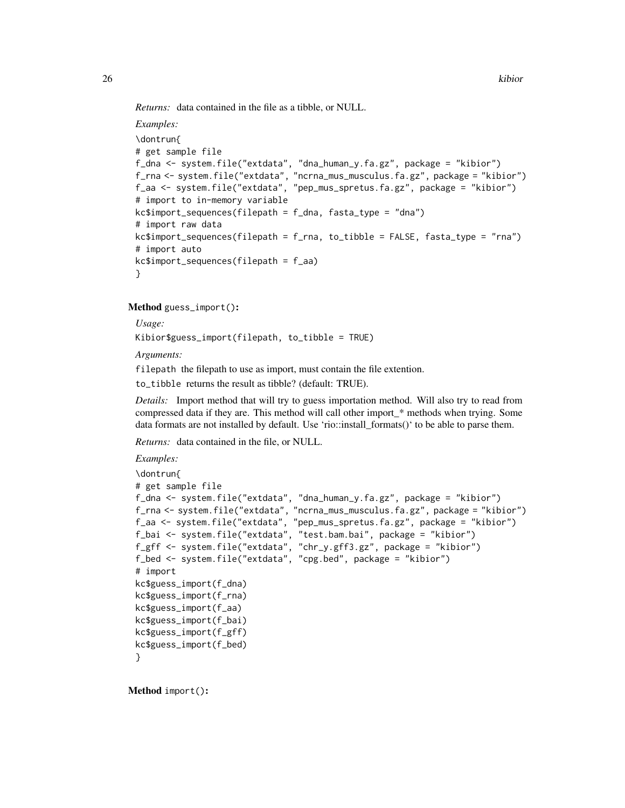*Returns:* data contained in the file as a tibble, or NULL.

```
Examples:
\dontrun{
# get sample file
f_dna <- system.file("extdata", "dna_human_y.fa.gz", package = "kibior")
f_rna <- system.file("extdata", "ncrna_mus_musculus.fa.gz", package = "kibior")
f_aa <- system.file("extdata", "pep_mus_spretus.fa.gz", package = "kibior")
# import to in-memory variable
kc$import_sequences(filepath = f_dna, fasta_type = "dna")
# import raw data
kc$import_sequences(filepath = f_rna, to_tibble = FALSE, fasta_type = "rna")
# import auto
kc$import_sequences(filepath = f_aa)
}
```
<span id="page-25-0"></span>Method guess\_import():

*Usage:*

Kibior\$guess\_import(filepath, to\_tibble = TRUE)

*Arguments:*

filepath the filepath to use as import, must contain the file extention.

to\_tibble returns the result as tibble? (default: TRUE).

*Details:* Import method that will try to guess importation method. Will also try to read from compressed data if they are. This method will call other import\_\* methods when trying. Some data formats are not installed by default. Use 'rio::install\_formats()' to be able to parse them.

*Returns:* data contained in the file, or NULL.

```
Examples:
\dontrun{
# get sample file
f_dna <- system.file("extdata", "dna_human_y.fa.gz", package = "kibior")
f_rna <- system.file("extdata", "ncrna_mus_musculus.fa.gz", package = "kibior")
f_aa <- system.file("extdata", "pep_mus_spretus.fa.gz", package = "kibior")
f_bai <- system.file("extdata", "test.bam.bai", package = "kibior")
f_gff <- system.file("extdata", "chr_y.gff3.gz", package = "kibior")
f_bed <- system.file("extdata", "cpg.bed", package = "kibior")
# import
kc$guess_import(f_dna)
kc$guess_import(f_rna)
kc$guess_import(f_aa)
kc$guess_import(f_bai)
kc$guess_import(f_gff)
kc$guess_import(f_bed)
}
```
<span id="page-25-1"></span>Method import():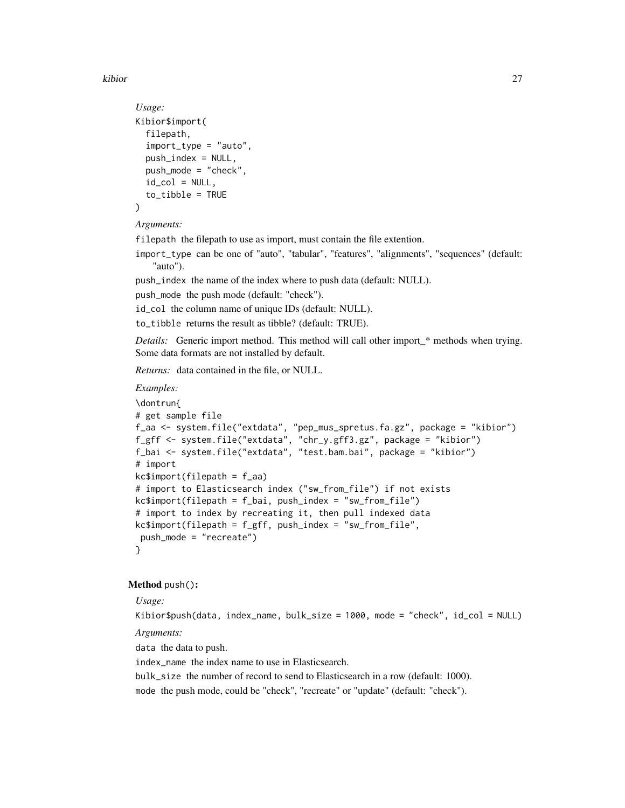```
Usage:
Kibior$import(
  filepath,
  import_type = "auto",
 push_index = NULL,push_mode = "check",
  id_{col} = NULL,
  to_tibble = TRUE
)
```
*Arguments:*

filepath the filepath to use as import, must contain the file extention.

import\_type can be one of "auto", "tabular", "features", "alignments", "sequences" (default: "auto").

push\_index the name of the index where to push data (default: NULL).

push\_mode the push mode (default: "check").

id\_col the column name of unique IDs (default: NULL).

to\_tibble returns the result as tibble? (default: TRUE).

*Details:* Generic import method. This method will call other import\_\* methods when trying. Some data formats are not installed by default.

*Returns:* data contained in the file, or NULL.

#### *Examples:*

```
\dontrun{
# get sample file
f_aa <- system.file("extdata", "pep_mus_spretus.fa.gz", package = "kibior")
f_gff <- system.file("extdata", "chr_y.gff3.gz", package = "kibior")
f_bai <- system.file("extdata", "test.bam.bai", package = "kibior")
# import
kc$import(filepath = f_aa)
# import to Elasticsearch index ("sw_from_file") if not exists
kc$import(filepath = f_bai, push_index = "sw_from_file")
# import to index by recreating it, then pull indexed data
kc$import(filepath = f_gff, push_index = "sw_from_file",
 push_mode = "recreate")
}
```
#### <span id="page-26-0"></span>Method push():

## *Usage:*

Kibior\$push(data, index\_name, bulk\_size = 1000, mode = "check", id\_col = NULL)

*Arguments:*

data the data to push.

index\_name the index name to use in Elasticsearch.

bulk\_size the number of record to send to Elasticsearch in a row (default: 1000).

mode the push mode, could be "check", "recreate" or "update" (default: "check").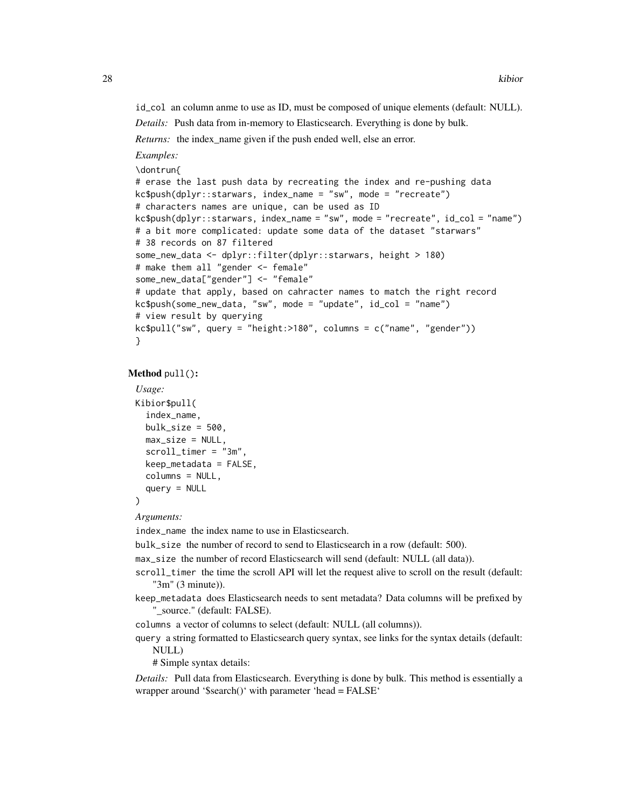id\_col an column anme to use as ID, must be composed of unique elements (default: NULL).

*Details:* Push data from in-memory to Elasticsearch. Everything is done by bulk.

*Returns:* the index\_name given if the push ended well, else an error.

*Examples:*

\dontrun{

```
# erase the last push data by recreating the index and re-pushing data
kc$push(dplyr::starwars, index_name = "sw", mode = "recreate")
# characters names are unique, can be used as ID
kc$push(dplyr::starwars, index_name = "sw", mode = "recreate", id_col = "name")
# a bit more complicated: update some data of the dataset "starwars"
# 38 records on 87 filtered
some_new_data <- dplyr::filter(dplyr::starwars, height > 180)
# make them all "gender <- female"
some_new_data["gender"] <- "female"
# update that apply, based on cahracter names to match the right record
kc$push(some_new_data, "sw", mode = "update", id_col = "name")
# view result by querying
kc$pull("sw", query = "height: >180", columns = c("name", "gender"))
}
```
#### <span id="page-27-0"></span>Method pull():

```
Usage:
Kibior$pull(
  index_name,
 bulk_size = 500,
 max_size = NULL,
  scroll_time r = "3m",keep_metadata = FALSE,
  columns = NULL,
  query = NULL)
```

```
Arguments:
```
index\_name the index name to use in Elasticsearch.

bulk\_size the number of record to send to Elasticsearch in a row (default: 500).

max\_size the number of record Elasticsearch will send (default: NULL (all data)).

- scroll\_timer the time the scroll API will let the request alive to scroll on the result (default: "3m" (3 minute)).
- keep\_metadata does Elasticsearch needs to sent metadata? Data columns will be prefixed by "\_source." (default: FALSE).
- columns a vector of columns to select (default: NULL (all columns)).
- query a string formatted to Elasticsearch query syntax, see links for the syntax details (default: NULL)

# Simple syntax details:

*Details:* Pull data from Elasticsearch. Everything is done by bulk. This method is essentially a wrapper around '\$search()' with parameter 'head = FALSE'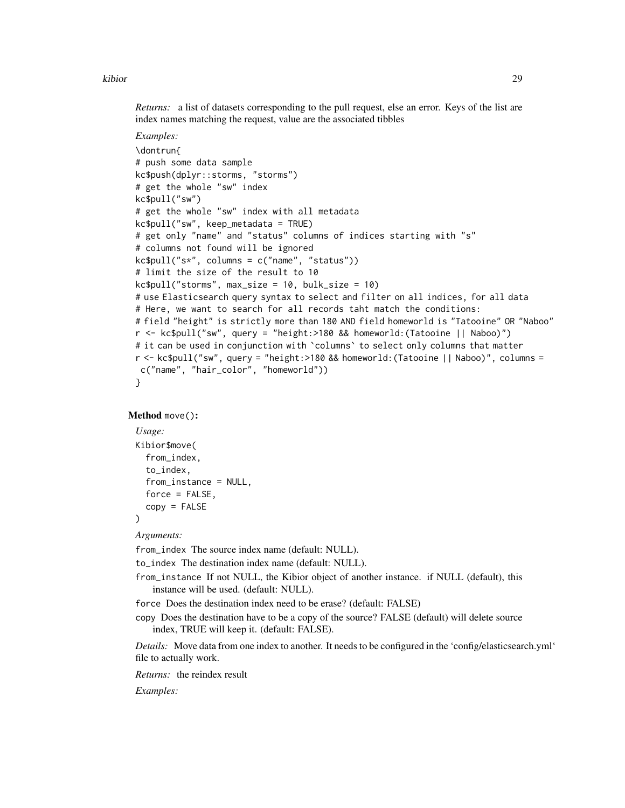*Returns:* a list of datasets corresponding to the pull request, else an error. Keys of the list are index names matching the request, value are the associated tibbles

```
Examples:
\dontrun{
# push some data sample
kc$push(dplyr::storms, "storms")
# get the whole "sw" index
kc$pull("sw")
# get the whole "sw" index with all metadata
kc$pull("sw", keep_metadata = TRUE)
# get only "name" and "status" columns of indices starting with "s"
# columns not found will be ignored
kc$pull("s*", columns = c("name", "status"))
# limit the size of the result to 10
kc$pull("storms", max_size = 10, bulk_size = 10)
# use Elasticsearch query syntax to select and filter on all indices, for all data
# Here, we want to search for all records taht match the conditions:
# field "height" is strictly more than 180 AND field homeworld is "Tatooine" OR "Naboo"
r <- kc$pull("sw", query = "height:>180 && homeworld:(Tatooine || Naboo)")
# it can be used in conjunction with `columns` to select only columns that matter
r <- kc$pull("sw", query = "height:>180 && homeworld:(Tatooine || Naboo)", columns =
c("name", "hair_color", "homeworld"))
}
```
#### <span id="page-28-0"></span>Method move():

```
Usage:
Kibior$move(
  from_index,
  to_index,
  from_instance = NULL,
  force = FALSE,copy = FALSE)
```
*Arguments:*

from\_index The source index name (default: NULL).

to\_index The destination index name (default: NULL).

from\_instance If not NULL, the Kibior object of another instance. if NULL (default), this instance will be used. (default: NULL).

force Does the destination index need to be erase? (default: FALSE)

copy Does the destination have to be a copy of the source? FALSE (default) will delete source index, TRUE will keep it. (default: FALSE).

*Details:* Move data from one index to another. It needs to be configured in the 'config/elasticsearch.yml' file to actually work.

*Returns:* the reindex result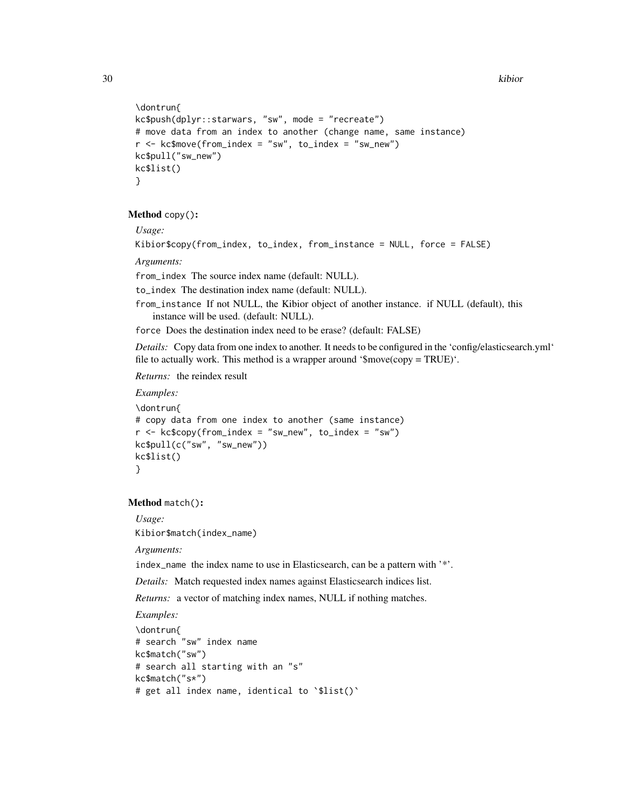```
\dontrun{
kc$push(dplyr::starwars, "sw", mode = "recreate")
# move data from an index to another (change name, same instance)
r < -kc$move(from_index = "sw", to_index = "sw_new")
kc$pull("sw_new")
kc$list()
}
```
<span id="page-29-0"></span>Method copy():

*Usage:*

```
Kibior$copy(from_index, to_index, from_instance = NULL, force = FALSE)
```
*Arguments:*

from\_index The source index name (default: NULL).

to\_index The destination index name (default: NULL).

from\_instance If not NULL, the Kibior object of another instance. if NULL (default), this instance will be used. (default: NULL).

force Does the destination index need to be erase? (default: FALSE)

*Details:* Copy data from one index to another. It needs to be configured in the 'config/elasticsearch.yml' file to actually work. This method is a wrapper around '\$move(copy = TRUE)'.

*Returns:* the reindex result

```
Examples:
\dontrun{
# copy data from one index to another (same instance)
r < -k\varepsilonc\varphiy(from_index = "sw_new", to_index = "sw")
kc$pull(c("sw", "sw_new"))
kc$list()
}
```
#### <span id="page-29-1"></span>Method match():

*Usage:* Kibior\$match(index\_name)

*Arguments:*

index\_name the index name to use in Elasticsearch, can be a pattern with '\*'.

*Details:* Match requested index names against Elasticsearch indices list.

*Returns:* a vector of matching index names, NULL if nothing matches.

```
\dontrun{
# search "sw" index name
kc$match("sw")
# search all starting with an "s"
kc$match("s*")
# get all index name, identical to `$list()`
```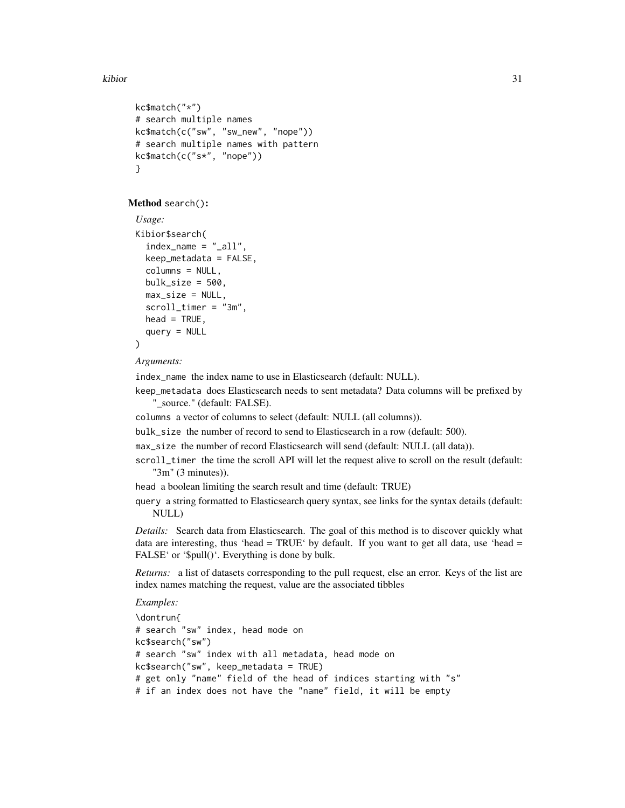```
kc$match("*")
# search multiple names
kc$match(c("sw", "sw_new", "nope"))
# search multiple names with pattern
kc$match(c("s*", "nope"))
}
```
<span id="page-30-0"></span>Method search():

```
Usage:
Kibior$search(
  index_name = "_all",keep_metadata = FALSE,
  columns = NULL,
 bulk_size = 500,
 max\_size = NULL,scroll_timer = "3m",
 head = TRUE,
  query = NULL)
```
*Arguments:*

index\_name the index name to use in Elasticsearch (default: NULL).

keep\_metadata does Elasticsearch needs to sent metadata? Data columns will be prefixed by "\_source." (default: FALSE).

columns a vector of columns to select (default: NULL (all columns)).

bulk\_size the number of record to send to Elasticsearch in a row (default: 500).

max\_size the number of record Elasticsearch will send (default: NULL (all data)).

scroll\_timer the time the scroll API will let the request alive to scroll on the result (default: "3m" (3 minutes)).

head a boolean limiting the search result and time (default: TRUE)

query a string formatted to Elasticsearch query syntax, see links for the syntax details (default: NULL)

*Details:* Search data from Elasticsearch. The goal of this method is to discover quickly what data are interesting, thus 'head =  $TRUE'$  by default. If you want to get all data, use 'head = FALSE' or '\$pull()'. Everything is done by bulk.

*Returns:* a list of datasets corresponding to the pull request, else an error. Keys of the list are index names matching the request, value are the associated tibbles

```
\dontrun{
# search "sw" index, head mode on
kc$search("sw")
# search "sw" index with all metadata, head mode on
kc$search("sw", keep_metadata = TRUE)
# get only "name" field of the head of indices starting with "s"
# if an index does not have the "name" field, it will be empty
```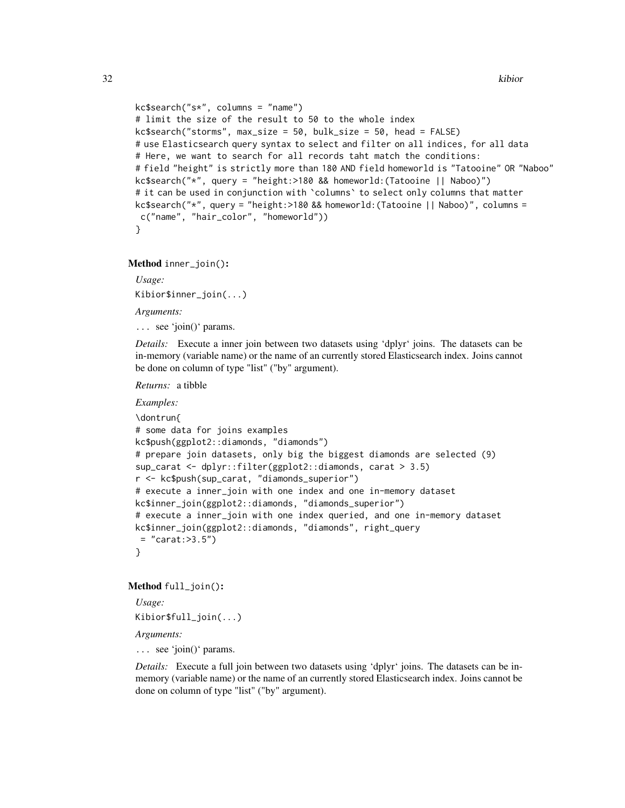```
kc$search("s*", columns = "name")# limit the size of the result to 50 to the whole index
kcssearch("storms", max_size = 50, bulk_size = 50, head = FALSE)# use Elasticsearch query syntax to select and filter on all indices, for all data
# Here, we want to search for all records taht match the conditions:
# field "height" is strictly more than 180 AND field homeworld is "Tatooine" OR "Naboo"
kc$search("*", query = "height:>180 && homeworld:(Tatooine || Naboo)")
# it can be used in conjunction with `columns` to select only columns that matter
kc$search("*", query = "height:>180 && homeworld:(Tatooine || Naboo)", columns =
c("name", "hair_color", "homeworld"))
}
```
<span id="page-31-0"></span>Method inner\_join():

*Usage:*

Kibior\$inner\_join(...)

*Arguments:*

... see 'join()' params.

*Details:* Execute a inner join between two datasets using 'dplyr' joins. The datasets can be in-memory (variable name) or the name of an currently stored Elasticsearch index. Joins cannot be done on column of type "list" ("by" argument).

*Returns:* a tibble

## *Examples:*

```
\dontrun{
# some data for joins examples
kc$push(ggplot2::diamonds, "diamonds")
# prepare join datasets, only big the biggest diamonds are selected (9)
sup_carat <- dplyr::filter(ggplot2::diamonds, carat > 3.5)
r <- kc$push(sup_carat, "diamonds_superior")
# execute a inner_join with one index and one in-memory dataset
kc$inner_join(ggplot2::diamonds, "diamonds_superior")
# execute a inner_join with one index queried, and one in-memory dataset
kc$inner_join(ggplot2::diamonds, "diamonds", right_query
= "carat:>3.5")
}
```
#### <span id="page-31-1"></span>Method full\_join():

*Usage:* Kibior\$full\_join(...)

*Arguments:*

... see 'join()' params.

*Details:* Execute a full join between two datasets using 'dplyr' joins. The datasets can be inmemory (variable name) or the name of an currently stored Elasticsearch index. Joins cannot be done on column of type "list" ("by" argument).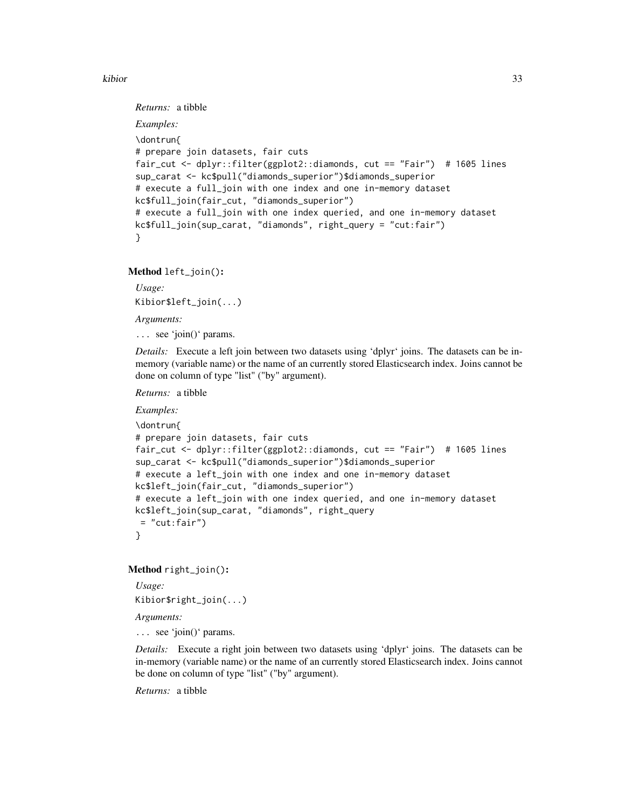*Returns:* a tibble

```
Examples:
\dontrun{
# prepare join datasets, fair cuts
fair_cut <- dplyr::filter(ggplot2::diamonds, cut == "Fair") # 1605 lines
sup_carat <- kc$pull("diamonds_superior")$diamonds_superior
# execute a full_join with one index and one in-memory dataset
kc$full_join(fair_cut, "diamonds_superior")
# execute a full_join with one index queried, and one in-memory dataset
kc$full_join(sup_carat, "diamonds", right_query = "cut:fair")
}
```
<span id="page-32-0"></span>Method left\_join():

*Usage:* Kibior\$left\_join(...)

*Arguments:*

... see 'join()' params.

*Details:* Execute a left join between two datasets using 'dplyr' joins. The datasets can be inmemory (variable name) or the name of an currently stored Elasticsearch index. Joins cannot be done on column of type "list" ("by" argument).

*Returns:* a tibble

*Examples:*

```
\dontrun{
# prepare join datasets, fair cuts
fair_cut <- dplyr::filter(ggplot2::diamonds, cut == "Fair") # 1605 lines
sup_carat <- kc$pull("diamonds_superior")$diamonds_superior
# execute a left_join with one index and one in-memory dataset
kc$left_join(fair_cut, "diamonds_superior")
# execute a left_join with one index queried, and one in-memory dataset
kc$left_join(sup_carat, "diamonds", right_query
= "cut:fair")
}
```
<span id="page-32-1"></span>Method right\_join():

*Usage:* Kibior\$right\_join(...)

*Arguments:*

... see 'join()' params.

*Details:* Execute a right join between two datasets using 'dplyr' joins. The datasets can be in-memory (variable name) or the name of an currently stored Elasticsearch index. Joins cannot be done on column of type "list" ("by" argument).

*Returns:* a tibble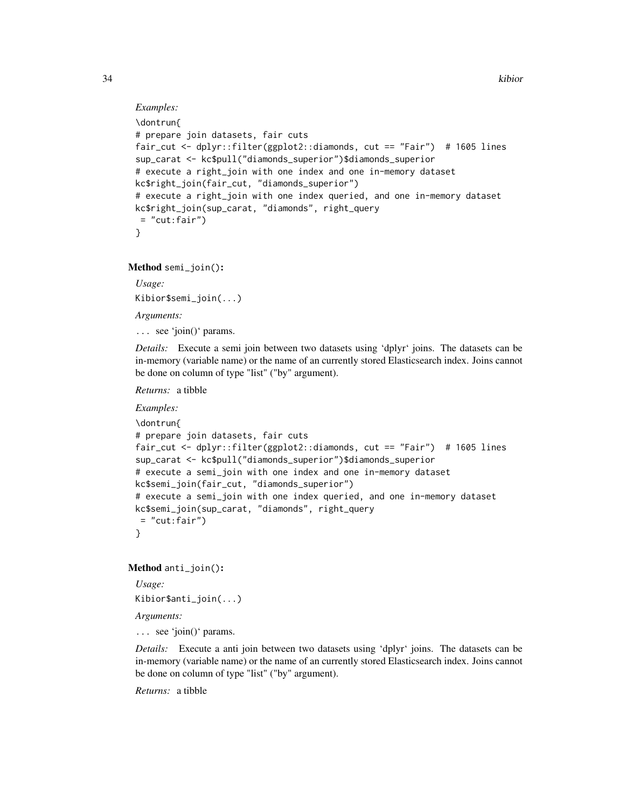## *Examples:*

```
\dontrun{
# prepare join datasets, fair cuts
fair_cut <- dplyr::filter(ggplot2::diamonds, cut == "Fair") # 1605 lines
sup_carat <- kc$pull("diamonds_superior")$diamonds_superior
# execute a right_join with one index and one in-memory dataset
kc$right_join(fair_cut, "diamonds_superior")
# execute a right_join with one index queried, and one in-memory dataset
kc$right_join(sup_carat, "diamonds", right_query
= "cut:fair")
}
```
<span id="page-33-0"></span>Method semi\_join():

*Usage:* Kibior\$semi\_join(...)

*Arguments:*

... see 'join()' params.

*Details:* Execute a semi join between two datasets using 'dplyr' joins. The datasets can be in-memory (variable name) or the name of an currently stored Elasticsearch index. Joins cannot be done on column of type "list" ("by" argument).

*Returns:* a tibble

*Examples:*

```
\dontrun{
# prepare join datasets, fair cuts
fair_cut <- dplyr::filter(ggplot2::diamonds, cut == "Fair") # 1605 lines
sup_carat <- kc$pull("diamonds_superior")$diamonds_superior
# execute a semi_join with one index and one in-memory dataset
kc$semi_join(fair_cut, "diamonds_superior")
# execute a semi_join with one index queried, and one in-memory dataset
kc$semi_join(sup_carat, "diamonds", right_query
= "cut:fair")
}
```
<span id="page-33-1"></span>Method anti\_join():

*Usage:* Kibior\$anti\_join(...)

*Arguments:*

... see 'join()' params.

*Details:* Execute a anti join between two datasets using 'dplyr' joins. The datasets can be in-memory (variable name) or the name of an currently stored Elasticsearch index. Joins cannot be done on column of type "list" ("by" argument).

*Returns:* a tibble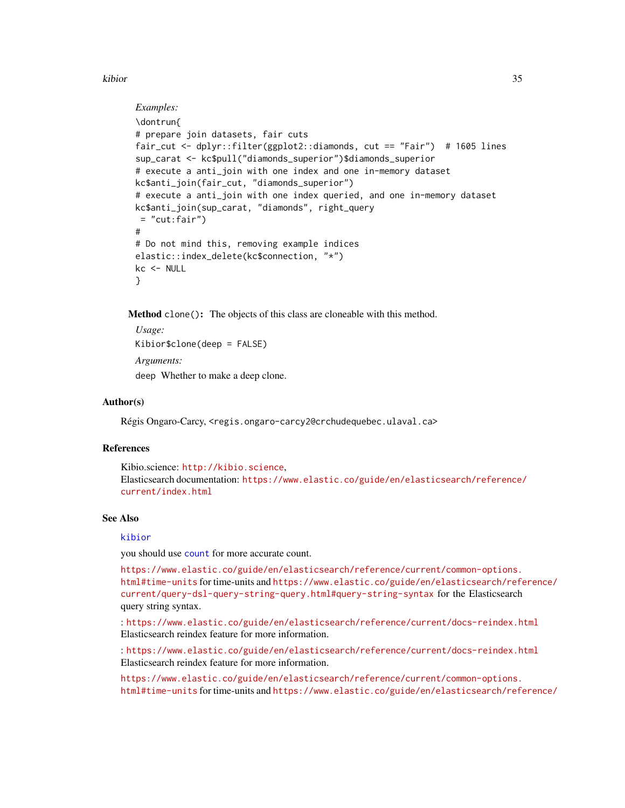```
Examples:
\dontrun{
# prepare join datasets, fair cuts
fair_cut <- dplyr::filter(ggplot2::diamonds, cut == "Fair") # 1605 lines
sup_carat <- kc$pull("diamonds_superior")$diamonds_superior
# execute a anti_join with one index and one in-memory dataset
kc$anti_join(fair_cut, "diamonds_superior")
# execute a anti_join with one index queried, and one in-memory dataset
kc$anti_join(sup_carat, "diamonds", right_query
= "cut:fair")
#
# Do not mind this, removing example indices
elastic::index_delete(kc$connection, "*")
kc <- NULL
}
```
<span id="page-34-0"></span>Method clone(): The objects of this class are cloneable with this method.

```
Usage:
Kibior$clone(deep = FALSE)
Arguments:
deep Whether to make a deep clone.
```
#### Author(s)

Régis Ongaro-Carcy, <regis.ongaro-carcy2@crchudequebec.ulaval.ca>

## References

Kibio.science: <http://kibio.science>, Elasticsearch documentation: [https://www.elastic.co/guide/en/elasticsearch/reference/](https://www.elastic.co/guide/en/elasticsearch/reference/current/index.html) [current/index.html](https://www.elastic.co/guide/en/elasticsearch/reference/current/index.html)

#### See Also

#### [kibior](#page-1-1)

you should use [count](#page-0-0) for more accurate count.

[https://www.elastic.co/guide/en/elasticsearch/reference/current/common-options.](https://www.elastic.co/guide/en/elasticsearch/reference/current/common-options.html#time-units) [html#time-units](https://www.elastic.co/guide/en/elasticsearch/reference/current/common-options.html#time-units) for time-units and [https://www.elastic.co/guide/en/elasticsearch/refe](https://www.elastic.co/guide/en/elasticsearch/reference/current/query-dsl-query-string-query.html#query-string-syntax)rence/ [current/query-dsl-query-string-query.html#query-string-syntax](https://www.elastic.co/guide/en/elasticsearch/reference/current/query-dsl-query-string-query.html#query-string-syntax) for the Elasticsearch query string syntax.

: <https://www.elastic.co/guide/en/elasticsearch/reference/current/docs-reindex.html> Elasticsearch reindex feature for more information.

: <https://www.elastic.co/guide/en/elasticsearch/reference/current/docs-reindex.html> Elasticsearch reindex feature for more information.

[https://www.elastic.co/guide/en/elasticsearch/reference/current/common-options.](https://www.elastic.co/guide/en/elasticsearch/reference/current/common-options.html#time-units) [html#time-units](https://www.elastic.co/guide/en/elasticsearch/reference/current/common-options.html#time-units) for time-units and [https://www.elastic.co/guide/en/elasticsearch/refe](https://www.elastic.co/guide/en/elasticsearch/reference/current/query-dsl-query-string-query.html#query-string-syntax)rence/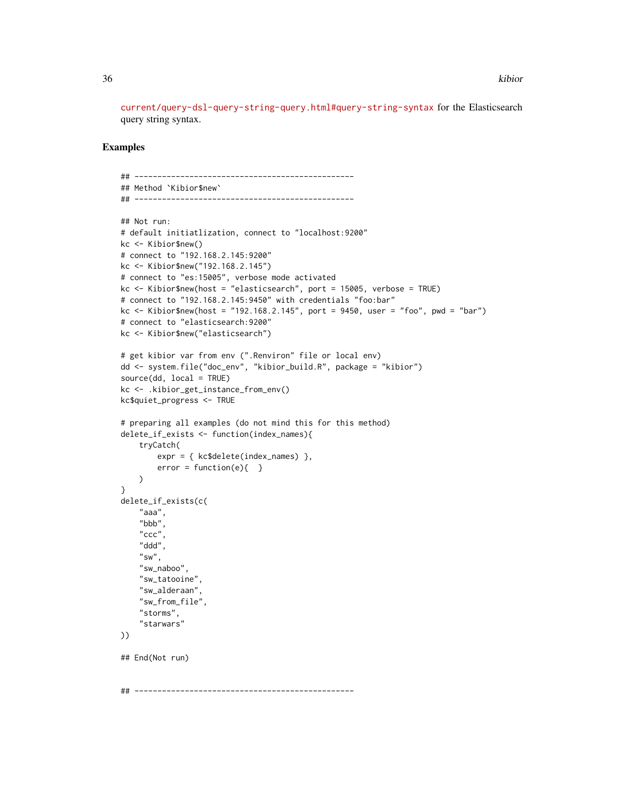[current/query-dsl-query-string-query.html#query-string-syntax](https://www.elastic.co/guide/en/elasticsearch/reference/current/query-dsl-query-string-query.html#query-string-syntax) for the Elasticsearch query string syntax.

```
## ------------------------------------------------
## Method `Kibior$new`
## ------------------------------------------------
## Not run:
# default initiatlization, connect to "localhost:9200"
kc <- Kibior$new()
# connect to "192.168.2.145:9200"
kc <- Kibior$new("192.168.2.145")
# connect to "es:15005", verbose mode activated
kc <- Kibior$new(host = "elasticsearch", port = 15005, verbose = TRUE)
# connect to "192.168.2.145:9450" with credentials "foo:bar"
kc <- Kibior$new(host = "192.168.2.145", port = 9450, user = "foo", pwd = "bar")
# connect to "elasticsearch:9200"
kc <- Kibior$new("elasticsearch")
# get kibior var from env (".Renviron" file or local env)
dd <- system.file("doc_env", "kibior_build.R", package = "kibior")
source(dd, local = TRUE)
kc <- .kibior_get_instance_from_env()
kc$quiet_progress <- TRUE
# preparing all examples (do not mind this for this method)
delete_if_exists <- function(index_names){
    tryCatch(
        expr = { kc$delete(index_names) },
        error = function(e){ }
    \lambda}
delete_if_exists(c(
    "aaa",
    "bbb",
    "ccc",
    "ddd",
    "sw",
    "sw_naboo",
    "sw_tatooine",
    "sw_alderaan",
    "sw_from_file",
    "storms",
    "starwars"
))
## End(Not run)
## ------------------------------------------------
```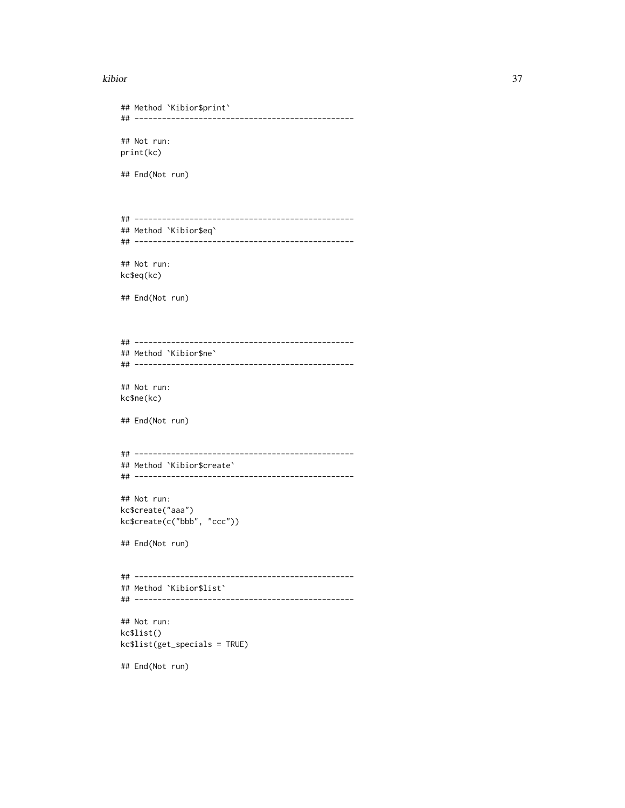```
## Method `Kibior$print`
## ------------------------------------------------
## Not run:
print(kc)
## End(Not run)
## ------------------------------------------------
## Method `Kibior$eq`
## ------------------------------------------------
## Not run:
kc$eq(kc)
## End(Not run)
## ------------------------------------------------
## Method `Kibior$ne`
## ------------------------------------------------
## Not run:
kc$ne(kc)
## End(Not run)
## ------------------------------------------------
## Method `Kibior$create`
## ------------------------------------------------
## Not run:
kc$create("aaa")
kc$create(c("bbb", "ccc"))
## End(Not run)
## ------------------------------------------------
## Method `Kibior$list`
## ------------------------------------------------
## Not run:
kc$list()
kc$list(get_specials = TRUE)
## End(Not run)
```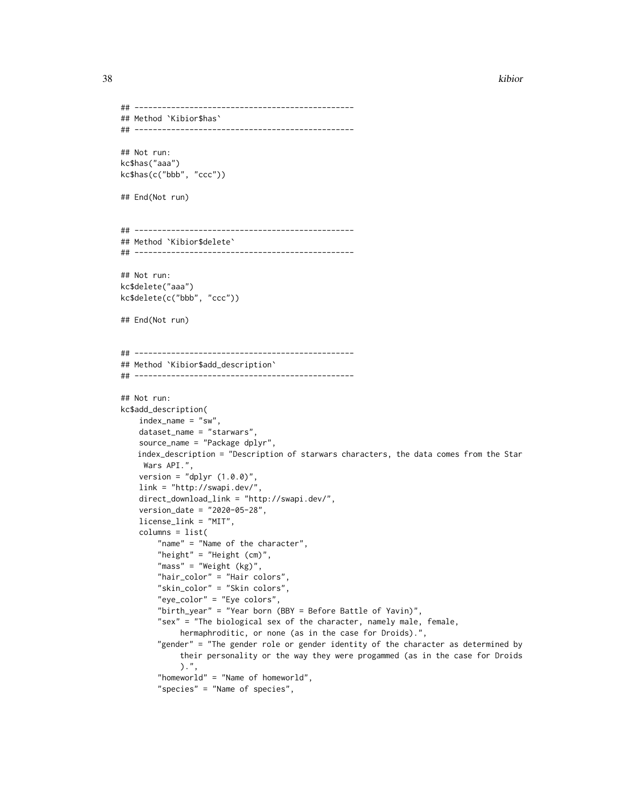```
## ------------------------------------------------
## Method `Kibior$has`
## ------------------------------------------------
## Not run:
kc$has("aaa")
kc$has(c("bbb", "ccc"))
## End(Not run)
## ------------------------------------------------
## Method `Kibior$delete`
## ------------------------------------------------
## Not run:
kc$delete("aaa")
kc$delete(c("bbb", "ccc"))
## End(Not run)
## ------------------------------------------------
## Method `Kibior$add_description`
## ------------------------------------------------
## Not run:
kc$add_description(
    index_name = "sw",
    dataset_name = "starwars",
    source_name = "Package dplyr",
   index_description = "Description of starwars characters, the data comes from the Star
    Wars API.",
    version = "dplyr (1.0.0)",
    link = "http://swapi.dev/",
    direct_download_link = "http://swapi.dev/",
    version_date = "2020-05-28",
   license_link = "MIT",
    columns = list(
        "name" = "Name of the character",
        "height" = "Height (cm)",
        "mass" = "Weight (kg)",
        "hair_color" = "Hair colors",
        "skin_color" = "Skin colors",
        "eye_color" = "Eye colors",
        "birth_year" = "Year born (BBY = Before Battle of Yavin)",
        "sex" = "The biological sex of the character, namely male, female,
             hermaphroditic, or none (as in the case for Droids).",
        "gender" = "The gender role or gender identity of the character as determined by
             their personality or the way they were progammed (as in the case for Droids
             ).",
        "homeworld" = "Name of homeworld",
        "species" = "Name of species",
```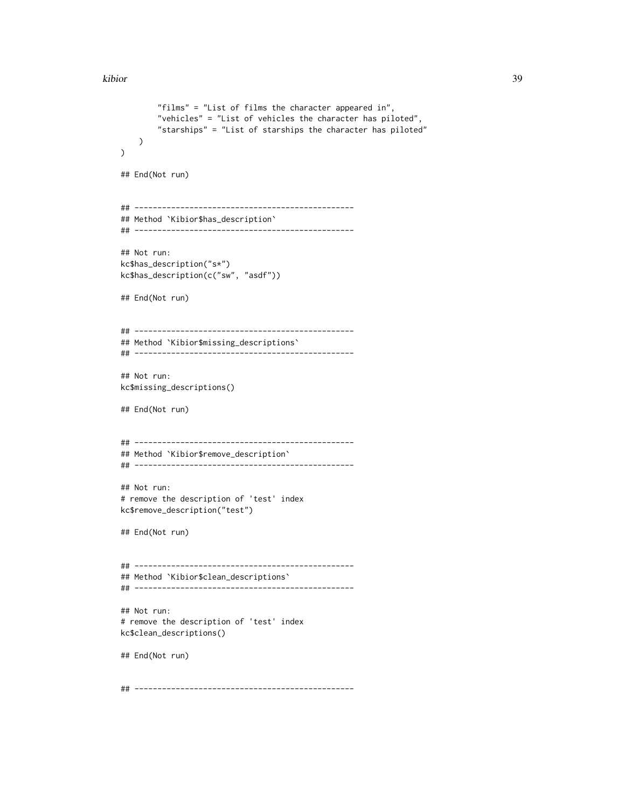```
"films" = "List of films the character appeared in",
        "vehicles" = "List of vehicles the character has piloted",
        "starships" = "List of starships the character has piloted"
   )
\mathcal{L}## End(Not run)
## ------------------------------------------------
## Method `Kibior$has_description`
## ------------------------------------------------
## Not run:
kc$has_description("s*")
kc$has_description(c("sw", "asdf"))
## End(Not run)
## ------------------------------------------------
## Method `Kibior$missing_descriptions`
## ------------------------------------------------
## Not run:
kc$missing_descriptions()
## End(Not run)
## ------------------------------------------------
## Method `Kibior$remove_description`
## ------------------------------------------------
## Not run:
# remove the description of 'test' index
kc$remove_description("test")
## End(Not run)
## ------------------------------------------------
## Method `Kibior$clean_descriptions`
## ------------------------------------------------
## Not run:
# remove the description of 'test' index
kc$clean_descriptions()
## End(Not run)
## ------------------------------------------------
```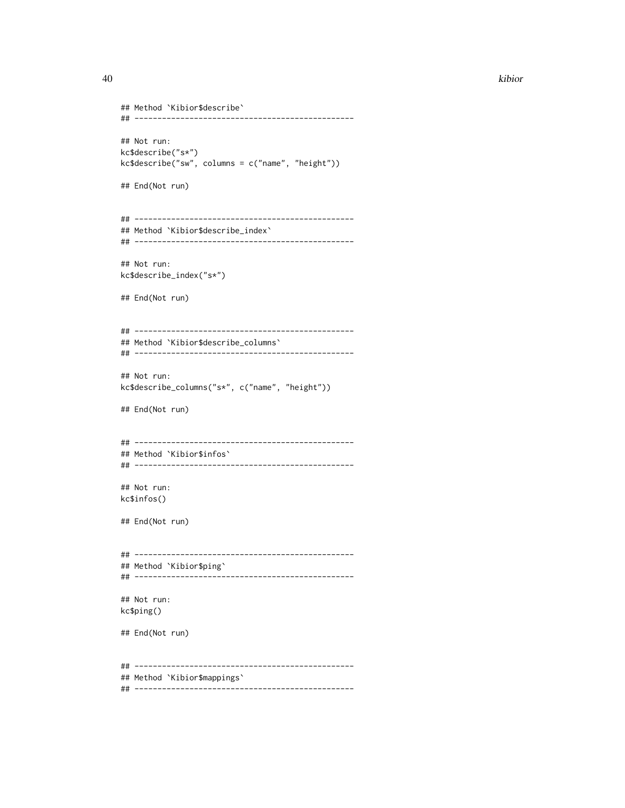## Method `Kibior\$describe` ## ------------------------------------------------ ## Not run: kc\$describe("s\*") kc\$describe("sw", columns = c("name", "height")) ## End(Not run) ## ------------------------------------------------ ## Method `Kibior\$describe\_index` ## ------------------------------------------------ ## Not run: kc\$describe\_index("s\*") ## End(Not run) ## ------------------------------------------------ ## Method `Kibior\$describe\_columns` ## ------------------------------------------------ ## Not run: kc\$describe\_columns("s\*", c("name", "height")) ## End(Not run) ## ------------------------------------------------ ## Method `Kibior\$infos` ## ------------------------------------------------ ## Not run: kc\$infos() ## End(Not run) ## ------------------------------------------------ ## Method `Kibior\$ping` ## ------------------------------------------------ ## Not run: kc\$ping() ## End(Not run) ## ------------------------------------------------ ## Method `Kibior\$mappings` ## ------------------------------------------------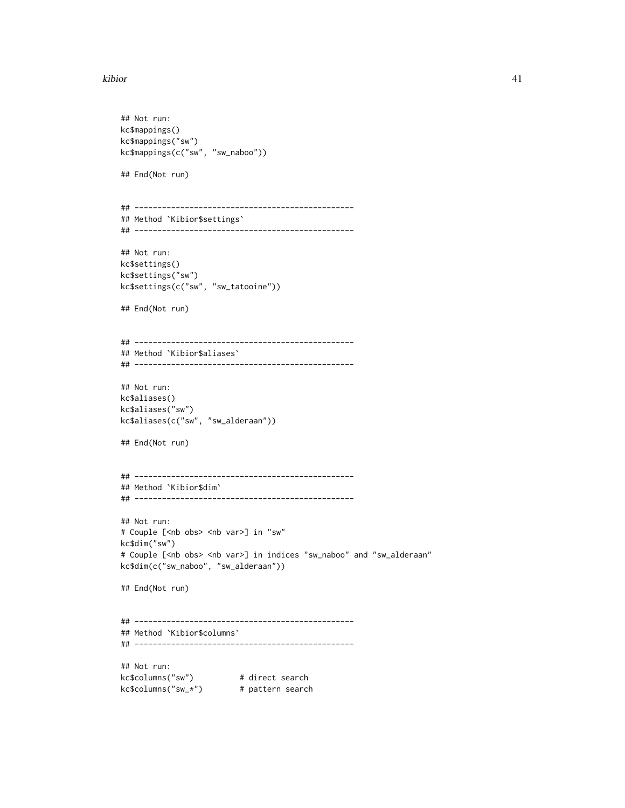```
## Not run:
kc$mappings()
kc$mappings("sw")
kc$mappings(c("sw", "sw_naboo"))
## End(Not run)
## ------------------------------------------------
## Method `Kibior$settings`
## ------------------------------------------------
## Not run:
kc$settings()
kc$settings("sw")
kc$settings(c("sw", "sw_tatooine"))
## End(Not run)
## ------------------------------------------------
## Method `Kibior$aliases`
## ------------------------------------------------
## Not run:
kc$aliases()
kc$aliases("sw")
kc$aliases(c("sw", "sw_alderaan"))
## End(Not run)
## ------------------------------------------------
## Method `Kibior$dim`
## ------------------------------------------------
## Not run:
# Couple [<nb obs> <nb var>] in "sw"
kc$dim("sw")
# Couple [<nb obs> <nb var>] in indices "sw_naboo" and "sw_alderaan"
kc$dim(c("sw_naboo", "sw_alderaan"))
## End(Not run)
## ------------------------------------------------
## Method `Kibior$columns`
## ------------------------------------------------
## Not run:
kc$columns("sw") # direct search
kc$columns("sw_*") # pattern search
```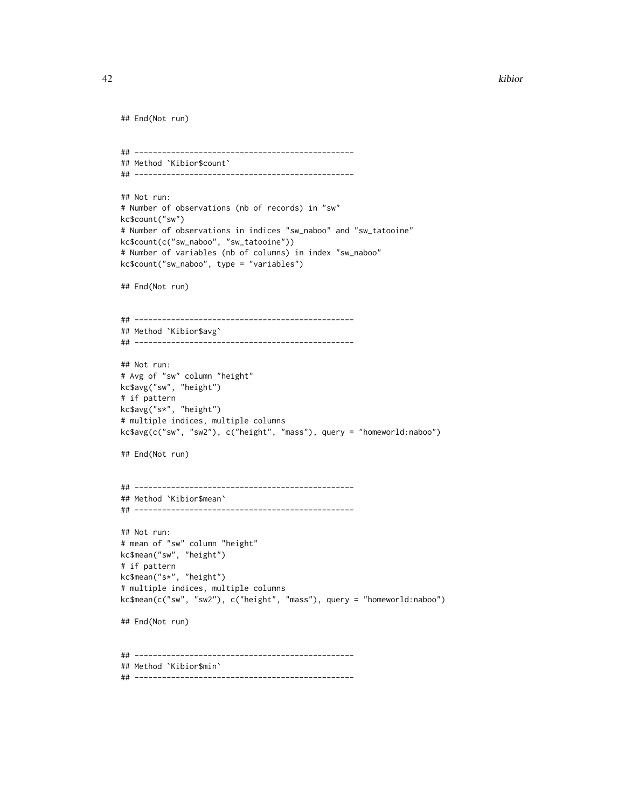```
## End(Not run)
## ------------------------------------------------
## Method `Kibior$count`
## ------------------------------------------------
## Not run:
# Number of observations (nb of records) in "sw"
kc$count("sw")
# Number of observations in indices "sw_naboo" and "sw_tatooine"
kc$count(c("sw_naboo", "sw_tatooine"))
# Number of variables (nb of columns) in index "sw_naboo"
kc$count("sw_naboo", type = "variables")
## End(Not run)
## ------------------------------------------------
## Method `Kibior$avg`
## ------------------------------------------------
## Not run:
# Avg of "sw" column "height"
kc$avg("sw", "height")
# if pattern
kc$avg("s*", "height")
# multiple indices, multiple columns
kc$avg(c("sw", "sw2"), c("height", "mass"), query = "homeworld:naboo")
## End(Not run)
## ------------------------------------------------
## Method `Kibior$mean`
## ------------------------------------------------
## Not run:
# mean of "sw" column "height"
kc$mean("sw", "height")
# if pattern
kc$mean("s*", "height")
# multiple indices, multiple columns
kc$mean(c("sw", "sw2"), c("height", "mass"), query = "homeworld:naboo")
## End(Not run)
## ------------------------------------------------
## Method `Kibior$min`
## ------------------------------------------------
```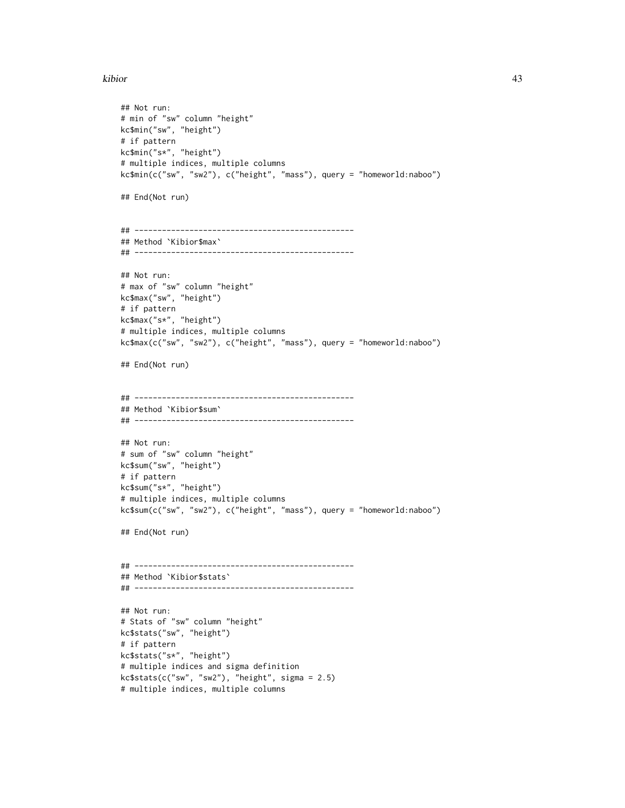```
## Not run:
# min of "sw" column "height"
kc$min("sw", "height")
# if pattern
kc$min("s*", "height")
# multiple indices, multiple columns
kc$min(c("sw", "sw2"), c("height", "mass"), query = "homeworld:naboo")
## End(Not run)
## ------------------------------------------------
## Method `Kibior$max`
## ------------------------------------------------
## Not run:
# max of "sw" column "height"
kc$max("sw", "height")
# if pattern
kc$max("s*", "height")
# multiple indices, multiple columns
kc$max(c("sw", "sw2"), c("height", "mass"), query = "homeworld:naboo")
## End(Not run)
## ------------------------------------------------
## Method `Kibior$sum`
## ------------------------------------------------
## Not run:
# sum of "sw" column "height"
kc$sum("sw", "height")
# if pattern
kc$sum("s*", "height")
# multiple indices, multiple columns
kc$sum(c("sw", "sw2"), c("height", "mass"), query = "homeworld:naboo")
## End(Not run)
## ------------------------------------------------
## Method `Kibior$stats`
## ------------------------------------------------
## Not run:
# Stats of "sw" column "height"
kc$stats("sw", "height")
# if pattern
kc$stats("s*", "height")
# multiple indices and sigma definition
kc$stats(c("sw", "sw2"), "height", sigma = 2.5)
# multiple indices, multiple columns
```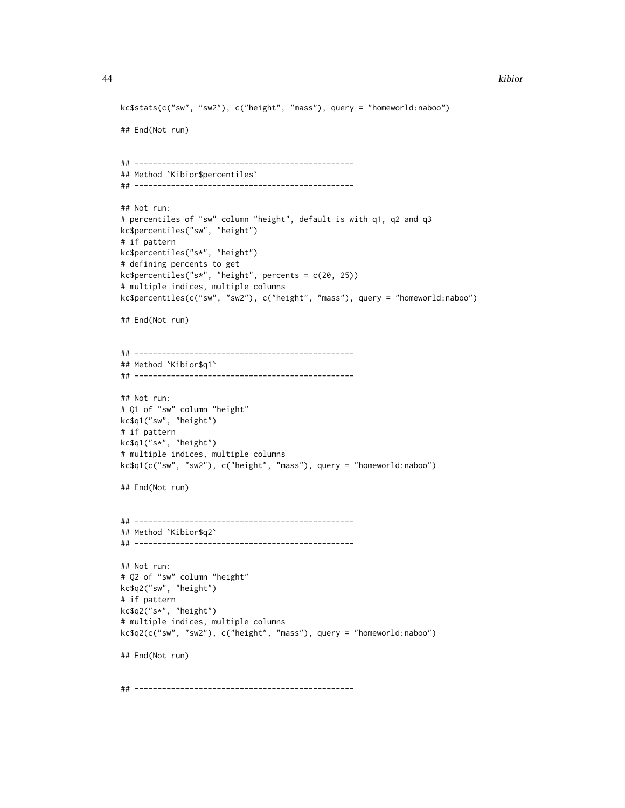```
kc$stats(c("sw", "sw2"), c("height", "mass"), query = "homeworld:naboo")
## End(Not run)
## ------------------------------------------------
## Method `Kibior$percentiles`
## ------------------------------------------------
## Not run:
# percentiles of "sw" column "height", default is with q1, q2 and q3
kc$percentiles("sw", "height")
# if pattern
kc$percentiles("s*", "height")
# defining percents to get
kc$percentiles("s*", "height", percents = c(20, 25))
# multiple indices, multiple columns
kc$percentiles(c("sw", "sw2"), c("height", "mass"), query = "homeworld:naboo")
## End(Not run)
## ------------------------------------------------
## Method `Kibior$q1`
## ------------------------------------------------
## Not run:
# Q1 of "sw" column "height"
kc$q1("sw", "height")
# if pattern
kc$q1("s*", "height")
# multiple indices, multiple columns
kc$q1(c("sw", "sw2"), c("height", "mass"), query = "homeworld:naboo")
## End(Not run)
## ------------------------------------------------
## Method `Kibior$q2`
## ------------------------------------------------
## Not run:
# Q2 of "sw" column "height"
kc$q2("sw", "height")
# if pattern
kc$q2("s*", "height")
# multiple indices, multiple columns
kc$q2(c("sw", "sw2"), c("height", "mass"), query = "homeworld:naboo")
## End(Not run)
## ------------------------------------------------
```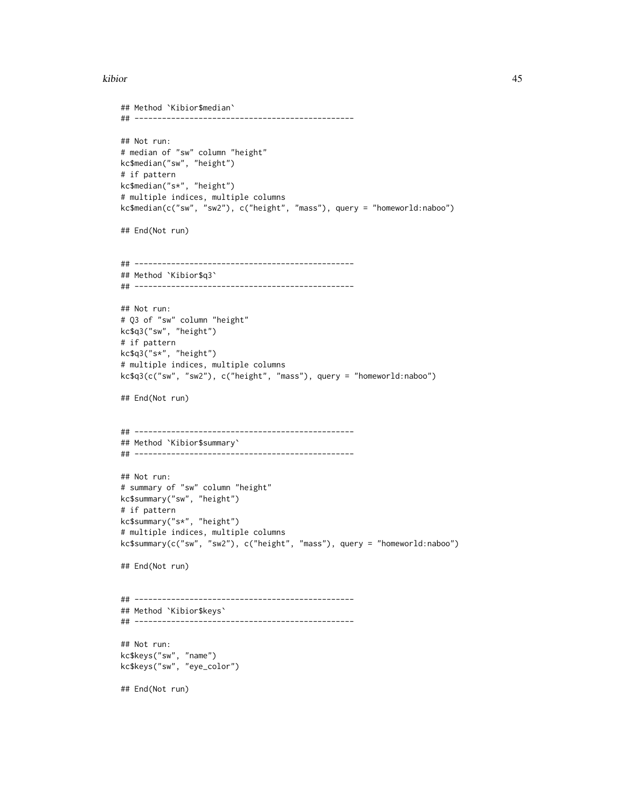```
## Method `Kibior$median`
## ------------------------------------------------
## Not run:
# median of "sw" column "height"
kc$median("sw", "height")
# if pattern
kc$median("s*", "height")
# multiple indices, multiple columns
kc$median(c("sw", "sw2"), c("height", "mass"), query = "homeworld:naboo")
## End(Not run)
## ------------------------------------------------
## Method `Kibior$q3`
## ------------------------------------------------
## Not run:
# Q3 of "sw" column "height"
kc$q3("sw", "height")
# if pattern
kc$q3("s*", "height")
# multiple indices, multiple columns
kc$q3(c("sw", "sw2"), c("height", "mass"), query = "homeworld:naboo")
## End(Not run)
## ------------------------------------------------
## Method `Kibior$summary`
## ------------------------------------------------
## Not run:
# summary of "sw" column "height"
kc$summary("sw", "height")
# if pattern
kc$summary("s*", "height")
# multiple indices, multiple columns
kc$summary(c("sw", "sw2"), c("height", "mass"), query = "homeworld:naboo")
## End(Not run)
## ------------------------------------------------
## Method `Kibior$keys`
## ------------------------------------------------
## Not run:
kc$keys("sw", "name")
kc$keys("sw", "eye_color")
## End(Not run)
```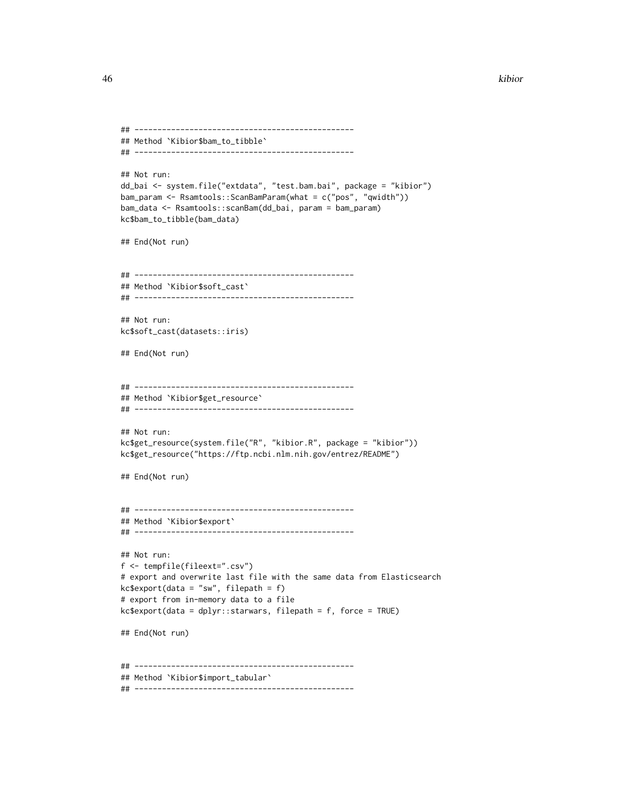```
## ------------------------------------------------
## Method `Kibior$bam_to_tibble`
## ------------------------------------------------
## Not run:
dd_bai <- system.file("extdata", "test.bam.bai", package = "kibior")
bam_param <- Rsamtools::ScanBamParam(what = c("pos", "qwidth"))
bam_data <- Rsamtools::scanBam(dd_bai, param = bam_param)
kc$bam_to_tibble(bam_data)
## End(Not run)
## ------------------------------------------------
## Method `Kibior$soft_cast`
## ------------------------------------------------
## Not run:
kc$soft_cast(datasets::iris)
## End(Not run)
## ------------------------------------------------
## Method `Kibior$get_resource`
## ------------------------------------------------
## Not run:
kc$get_resource(system.file("R", "kibior.R", package = "kibior"))
kc$get_resource("https://ftp.ncbi.nlm.nih.gov/entrez/README")
## End(Not run)
## ------------------------------------------------
## Method `Kibior$export`
## ------------------------------------------------
## Not run:
f <- tempfile(fileext=".csv")
# export and overwrite last file with the same data from Elasticsearch
kc$export(data = "sw", filepath = f)
# export from in-memory data to a file
kc$export(data = dplyr::starwars, filepath = f, force = TRUE)
## End(Not run)
## ------------------------------------------------
## Method `Kibior$import_tabular`
## ------------------------------------------------
```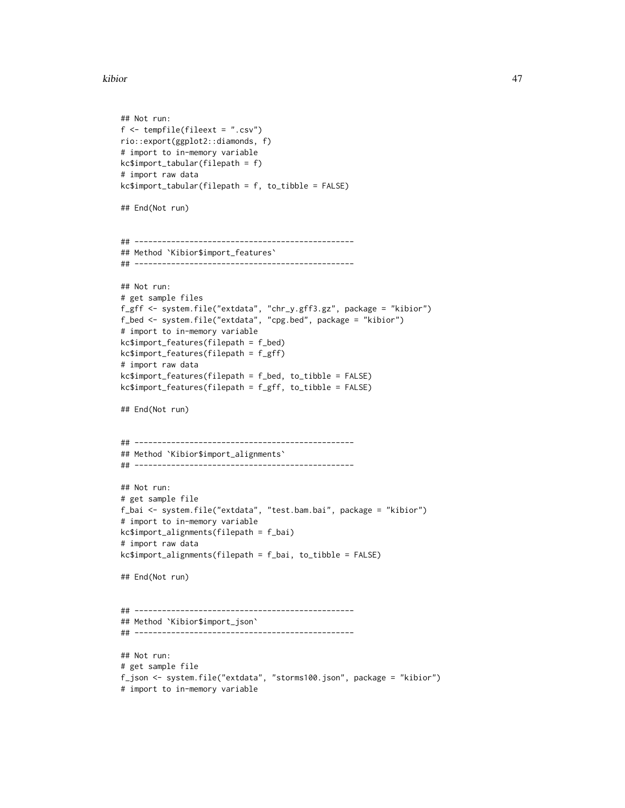```
## Not run:
f <- tempfile(fileext = ".csv")
rio::export(ggplot2::diamonds, f)
# import to in-memory variable
kc$import_tabular(filepath = f)
# import raw data
kc$import_tabular(filepath = f, to_tibble = FALSE)
## End(Not run)
## ------------------------------------------------
## Method `Kibior$import_features`
## ------------------------------------------------
## Not run:
# get sample files
f_gff <- system.file("extdata", "chr_y.gff3.gz", package = "kibior")
f_bed <- system.file("extdata", "cpg.bed", package = "kibior")
# import to in-memory variable
kc$import_features(filepath = f_bed)
kc$import_features(filepath = f_gff)
# import raw data
kc$import_features(filepath = f_bed, to_tibble = FALSE)
kc$import_features(filepath = f_gff, to_tibble = FALSE)
## End(Not run)
## ------------------------------------------------
## Method `Kibior$import_alignments`
## ------------------------------------------------
## Not run:
# get sample file
f_bai <- system.file("extdata", "test.bam.bai", package = "kibior")
# import to in-memory variable
kc$import_alignments(filepath = f_bai)
# import raw data
kc$import_alignments(filepath = f_bai, to_tibble = FALSE)
## End(Not run)
## ------------------------------------------------
## Method `Kibior$import_json`
## ------------------------------------------------
## Not run:
# get sample file
f_json <- system.file("extdata", "storms100.json", package = "kibior")
# import to in-memory variable
```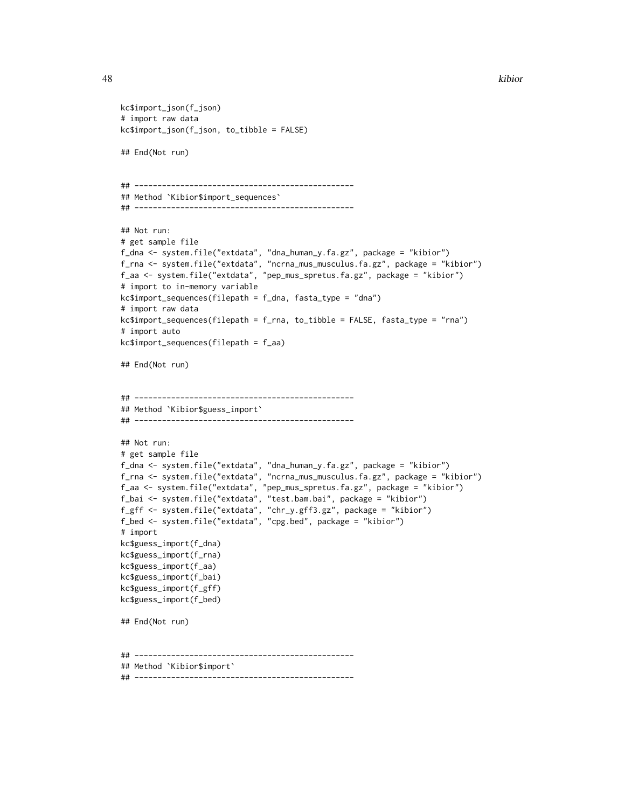```
kc$import_json(f_json)
# import raw data
kc$import_json(f_json, to_tibble = FALSE)
## End(Not run)
## ------------------------------------------------
## Method `Kibior$import_sequences`
## ------------------------------------------------
## Not run:
# get sample file
f_dna <- system.file("extdata", "dna_human_y.fa.gz", package = "kibior")
f_rna <- system.file("extdata", "ncrna_mus_musculus.fa.gz", package = "kibior")
f_aa <- system.file("extdata", "pep_mus_spretus.fa.gz", package = "kibior")
# import to in-memory variable
kc$import_sequences(filepath = f_dna, fasta_type = "dna")
# import raw data
kc$import_sequences(filepath = f_rna, to_tibble = FALSE, fasta_type = "rna")
# import auto
kc$import_sequences(filepath = f_aa)
## End(Not run)
## ------------------------------------------------
## Method `Kibior$guess_import`
## ------------------------------------------------
## Not run:
# get sample file
f_dna <- system.file("extdata", "dna_human_y.fa.gz", package = "kibior")
f_rna <- system.file("extdata", "ncrna_mus_musculus.fa.gz", package = "kibior")
f_aa <- system.file("extdata", "pep_mus_spretus.fa.gz", package = "kibior")
f_bai <- system.file("extdata", "test.bam.bai", package = "kibior")
f_gff <- system.file("extdata", "chr_y.gff3.gz", package = "kibior")
f_bed <- system.file("extdata", "cpg.bed", package = "kibior")
# import
kc$guess_import(f_dna)
kc$guess_import(f_rna)
kc$guess_import(f_aa)
kc$guess_import(f_bai)
kc$guess_import(f_gff)
kc$guess_import(f_bed)
## End(Not run)
## ------------------------------------------------
## Method `Kibior$import`
## ------------------------------------------------
```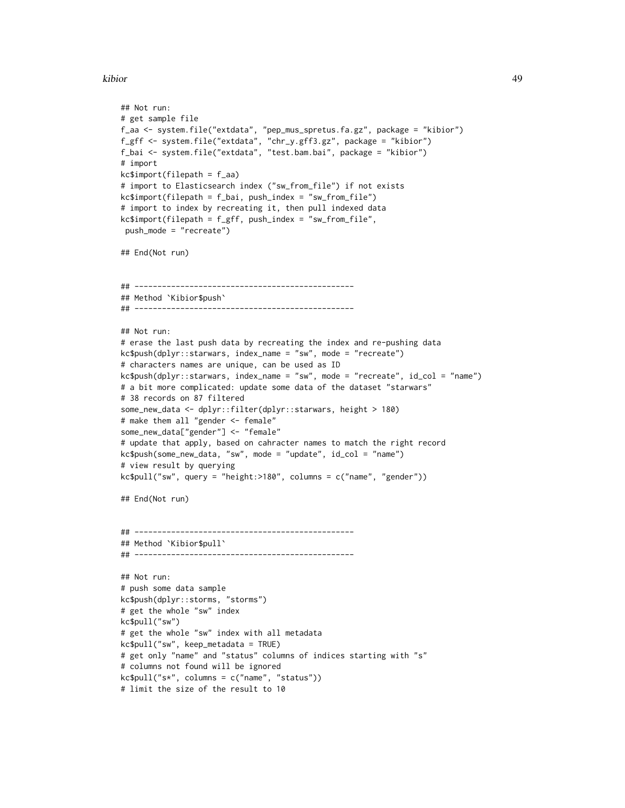```
## Not run:
# get sample file
f_aa <- system.file("extdata", "pep_mus_spretus.fa.gz", package = "kibior")
f_gff <- system.file("extdata", "chr_y.gff3.gz", package = "kibior")
f_bai <- system.file("extdata", "test.bam.bai", package = "kibior")
# import
kc$import(filepath = f_aa)
# import to Elasticsearch index ("sw_from_file") if not exists
kc$import(filepath = f_bai, push_index = "sw_from_file")
# import to index by recreating it, then pull indexed data
kc$import(filepath = f_gff, push_index = "sw_from_file",
 push_mode = "recreate")
## End(Not run)
## ------------------------------------------------
## Method `Kibior$push`
## ------------------------------------------------
## Not run:
# erase the last push data by recreating the index and re-pushing data
kc$push(dplyr::starwars, index_name = "sw", mode = "recreate")
# characters names are unique, can be used as ID
kc$push(dplyr::starwars, index_name = "sw", mode = "recreate", id_col = "name")
# a bit more complicated: update some data of the dataset "starwars"
# 38 records on 87 filtered
some_new_data <- dplyr::filter(dplyr::starwars, height > 180)
# make them all "gender <- female"
some_new_data["gender"] <- "female"
# update that apply, based on cahracter names to match the right record
kc$push(some_new_data, "sw", mode = "update", id_col = "name")
# view result by querying
kc$pull("sw", query = "height: > 180", columns = c("name", "gender"))## End(Not run)
## ------------------------------------------------
## Method `Kibior$pull`
## ------------------------------------------------
## Not run:
# push some data sample
kc$push(dplyr::storms, "storms")
# get the whole "sw" index
kc$pull("sw")
# get the whole "sw" index with all metadata
kc$pull("sw", keep_metadata = TRUE)
# get only "name" and "status" columns of indices starting with "s"
# columns not found will be ignored
kc$pull("s*", columns = c("name", "status"))
# limit the size of the result to 10
```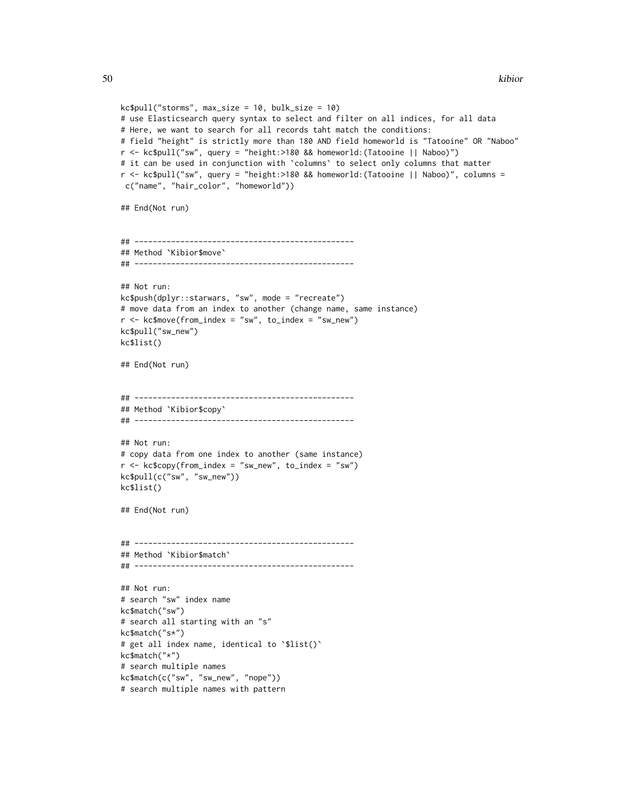```
kc$pull("storms", max_size = 10, bulk_size = 10)
# use Elasticsearch query syntax to select and filter on all indices, for all data
# Here, we want to search for all records taht match the conditions:
# field "height" is strictly more than 180 AND field homeworld is "Tatooine" OR "Naboo"
r <- kc$pull("sw", query = "height:>180 && homeworld:(Tatooine || Naboo)")
# it can be used in conjunction with `columns` to select only columns that matter
r <- kc$pull("sw", query = "height:>180 && homeworld:(Tatooine || Naboo)", columns =
c("name", "hair_color", "homeworld"))
## End(Not run)
## ------------------------------------------------
## Method `Kibior$move`
## ------------------------------------------------
## Not run:
kc$push(dplyr::starwars, "sw", mode = "recreate")
# move data from an index to another (change name, same instance)
r < -kc$move(from_index = "sw", to_index = "sw_new")
kc$pull("sw_new")
kc$list()
## End(Not run)
## ------------------------------------------------
## Method `Kibior$copy`
## ------------------------------------------------
## Not run:
# copy data from one index to another (same instance)
r < -k\varepsilonc\varphiy(from_index = "sw_new", to_index = "sw")
kc$pull(c("sw", "sw_new"))
kc$list()
## End(Not run)
## ------------------------------------------------
## Method `Kibior$match`
## ------------------------------------------------
## Not run:
# search "sw" index name
kc$match("sw")
# search all starting with an "s"
kc$match("s*")
# get all index name, identical to '$list()'
kc$match("*")
# search multiple names
kc$match(c("sw", "sw_new", "nope"))
# search multiple names with pattern
```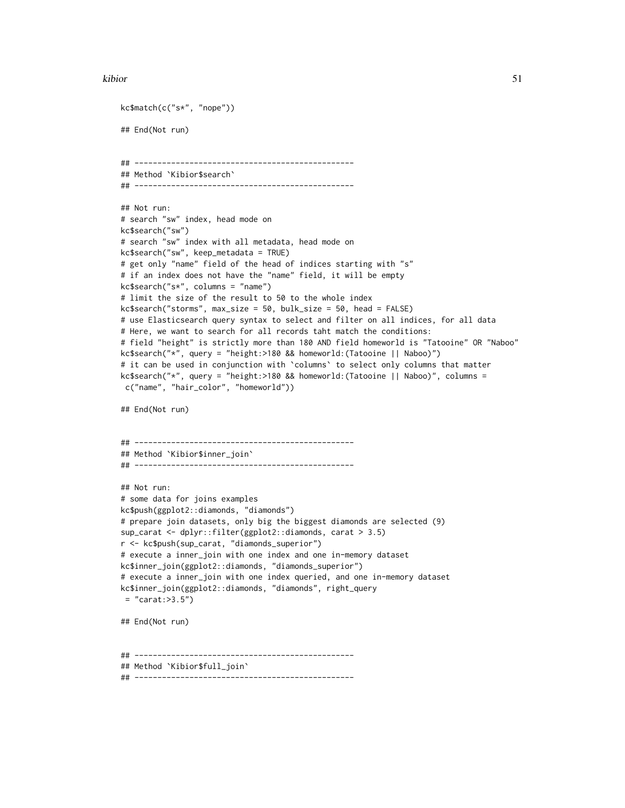```
kc$match(c("s*", "nope"))
## End(Not run)
## ------------------------------------------------
## Method `Kibior$search`
## ------------------------------------------------
## Not run:
# search "sw" index, head mode on
kc$search("sw")
# search "sw" index with all metadata, head mode on
kc$search("sw", keep_metadata = TRUE)
# get only "name" field of the head of indices starting with "s"
# if an index does not have the "name" field, it will be empty
kc$search("s*", columns = "name")
# limit the size of the result to 50 to the whole index
kc$search("storms", max_size = 50, bulk_size = 50, head = FALSE)
# use Elasticsearch query syntax to select and filter on all indices, for all data
# Here, we want to search for all records taht match the conditions:
# field "height" is strictly more than 180 AND field homeworld is "Tatooine" OR "Naboo"
kc$search("*", query = "height:>180 && homeworld:(Tatooine || Naboo)")
# it can be used in conjunction with `columns` to select only columns that matter
kc$search("*", query = "height:>180 && homeworld:(Tatooine || Naboo)", columns =
c("name", "hair_color", "homeworld"))
## End(Not run)
## ------------------------------------------------
## Method `Kibior$inner_join`
## ------------------------------------------------
## Not run:
# some data for joins examples
kc$push(ggplot2::diamonds, "diamonds")
# prepare join datasets, only big the biggest diamonds are selected (9)
sup_carat <- dplyr::filter(ggplot2::diamonds, carat > 3.5)
r <- kc$push(sup_carat, "diamonds_superior")
# execute a inner_join with one index and one in-memory dataset
kc$inner_join(ggplot2::diamonds, "diamonds_superior")
# execute a inner_join with one index queried, and one in-memory dataset
kc$inner_join(ggplot2::diamonds, "diamonds", right_query
= "carat: >3.5")## End(Not run)
## ------------------------------------------------
## Method `Kibior$full_join`
## ------------------------------------------------
```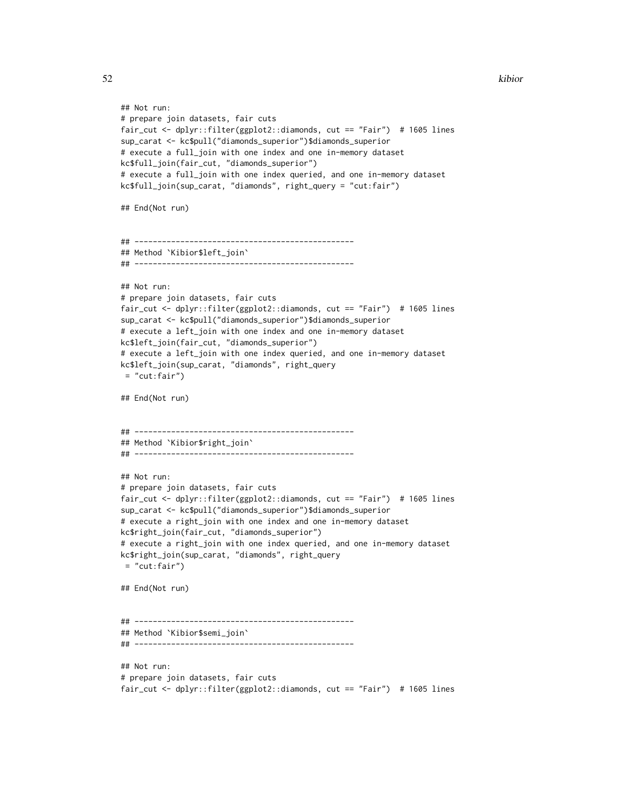```
## Not run:
# prepare join datasets, fair cuts
fair_cut <- dplyr::filter(ggplot2::diamonds, cut == "Fair") # 1605 lines
sup_carat <- kc$pull("diamonds_superior")$diamonds_superior
# execute a full_join with one index and one in-memory dataset
kc$full_join(fair_cut, "diamonds_superior")
# execute a full_join with one index queried, and one in-memory dataset
kc$full_join(sup_carat, "diamonds", right_query = "cut:fair")
## End(Not run)
## ------------------------------------------------
## Method `Kibior$left_join`
## ------------------------------------------------
## Not run:
# prepare join datasets, fair cuts
fair_cut <- dplyr::filter(ggplot2::diamonds, cut == "Fair") # 1605 lines
sup_carat <- kc$pull("diamonds_superior")$diamonds_superior
# execute a left_join with one index and one in-memory dataset
kc$left_join(fair_cut, "diamonds_superior")
# execute a left_join with one index queried, and one in-memory dataset
kc$left_join(sup_carat, "diamonds", right_query
= "cut:fair")
## End(Not run)
## ------------------------------------------------
## Method `Kibior$right_join`
## ------------------------------------------------
## Not run:
# prepare join datasets, fair cuts
fair_cut <- dplyr::filter(ggplot2::diamonds, cut == "Fair") # 1605 lines
sup_carat <- kc$pull("diamonds_superior")$diamonds_superior
# execute a right_join with one index and one in-memory dataset
kc$right_join(fair_cut, "diamonds_superior")
# execute a right_join with one index queried, and one in-memory dataset
kc$right_join(sup_carat, "diamonds", right_query
= "cut:fair")
## End(Not run)
## ------------------------------------------------
## Method `Kibior$semi_join`
## ------------------------------------------------
## Not run:
# prepare join datasets, fair cuts
fair_cut <- dplyr::filter(ggplot2::diamonds, cut == "Fair") # 1605 lines
```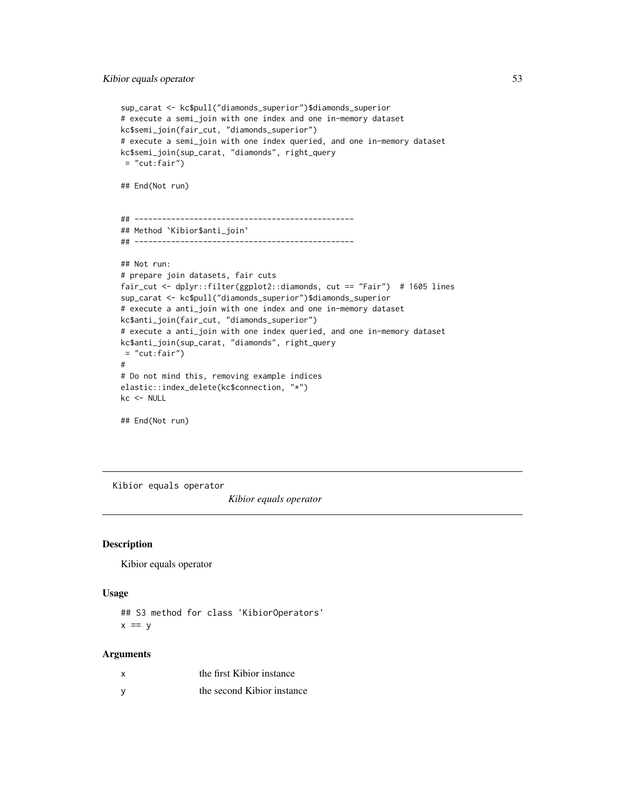```
sup_carat <- kc$pull("diamonds_superior")$diamonds_superior
# execute a semi_join with one index and one in-memory dataset
kc$semi_join(fair_cut, "diamonds_superior")
# execute a semi_join with one index queried, and one in-memory dataset
kc$semi_join(sup_carat, "diamonds", right_query
= "cut:fair")
## End(Not run)
## ------------------------------------------------
## Method `Kibior$anti_join`
## ------------------------------------------------
## Not run:
# prepare join datasets, fair cuts
fair_cut <- dplyr::filter(ggplot2::diamonds, cut == "Fair") # 1605 lines
sup_carat <- kc$pull("diamonds_superior")$diamonds_superior
# execute a anti_join with one index and one in-memory dataset
kc$anti_join(fair_cut, "diamonds_superior")
# execute a anti_join with one index queried, and one in-memory dataset
kc$anti_join(sup_carat, "diamonds", right_query
= "cut:fair")
#
# Do not mind this, removing example indices
elastic::index_delete(kc$connection, "*")
kc <- NULL
```
## End(Not run)

<span id="page-52-1"></span>Kibior equals operator

*Kibior equals operator*

#### Description

Kibior equals operator

#### Usage

```
## S3 method for class 'KibiorOperators'
x == y
```
#### Arguments

| x            | the first Kibior instance  |
|--------------|----------------------------|
| <sub>V</sub> | the second Kibior instance |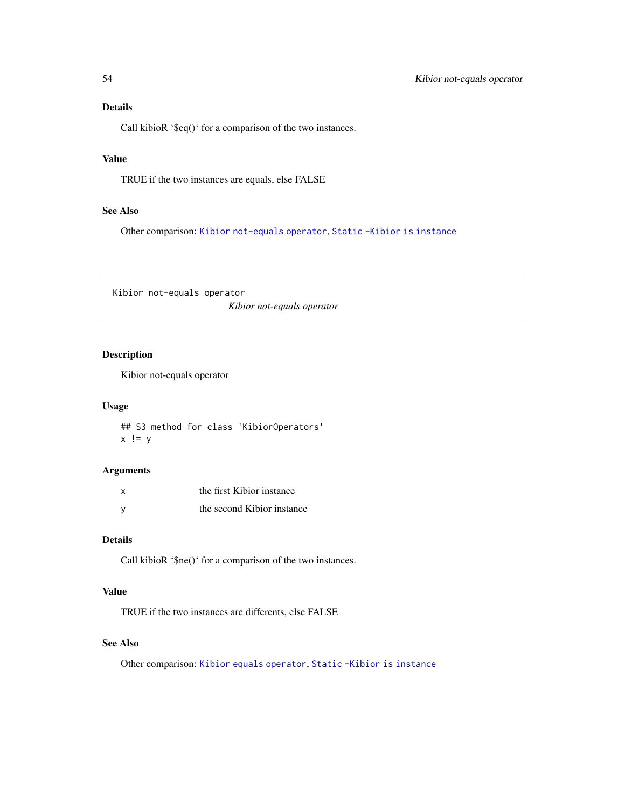## <span id="page-53-0"></span>Details

Call kibioR '\$eq()' for a comparison of the two instances.

## Value

TRUE if the two instances are equals, else FALSE

#### See Also

Other comparison: [Kibior not-equals operator](#page-53-1), [Static -Kibior is instance](#page-55-1)

<span id="page-53-1"></span>Kibior not-equals operator *Kibior not-equals operator*

## Description

Kibior not-equals operator

#### Usage

## S3 method for class 'KibiorOperators'  $x$  !=  $y$ 

#### Arguments

| X | the first Kibior instance  |
|---|----------------------------|
| v | the second Kibior instance |

## Details

Call kibioR '\$ne()' for a comparison of the two instances.

## Value

TRUE if the two instances are differents, else FALSE

## See Also

Other comparison: [Kibior equals operator](#page-52-1), [Static -Kibior is instance](#page-55-1)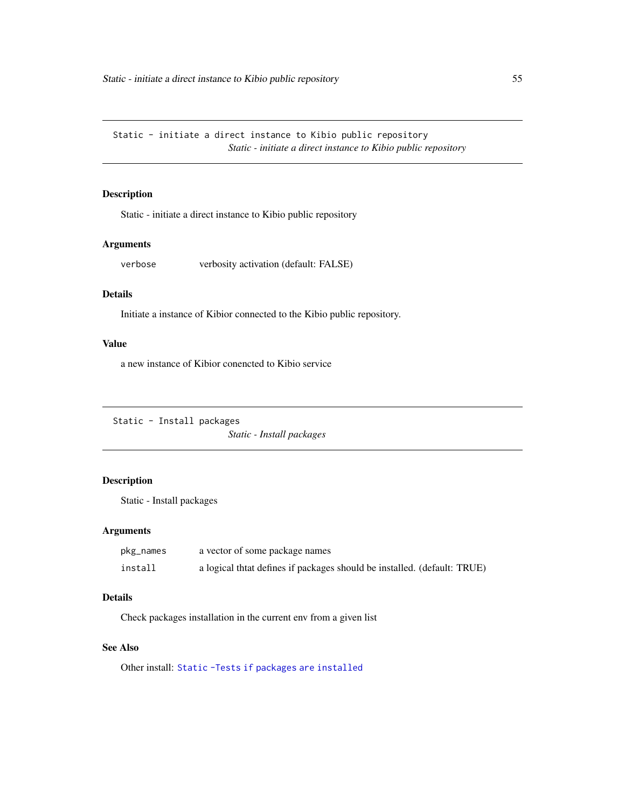<span id="page-54-0"></span>Static - initiate a direct instance to Kibio public repository *Static - initiate a direct instance to Kibio public repository*

## Description

Static - initiate a direct instance to Kibio public repository

## Arguments

verbose verbosity activation (default: FALSE)

## Details

Initiate a instance of Kibior connected to the Kibio public repository.

## Value

a new instance of Kibior conencted to Kibio service

<span id="page-54-1"></span>Static - Install packages

*Static - Install packages*

## Description

Static - Install packages

#### Arguments

| pkg_names | a vector of some package names                                          |
|-----------|-------------------------------------------------------------------------|
| install   | a logical that defines if packages should be installed. (default: TRUE) |

#### Details

Check packages installation in the current env from a given list

#### See Also

Other install: [Static -Tests if packages are installed](#page-55-2)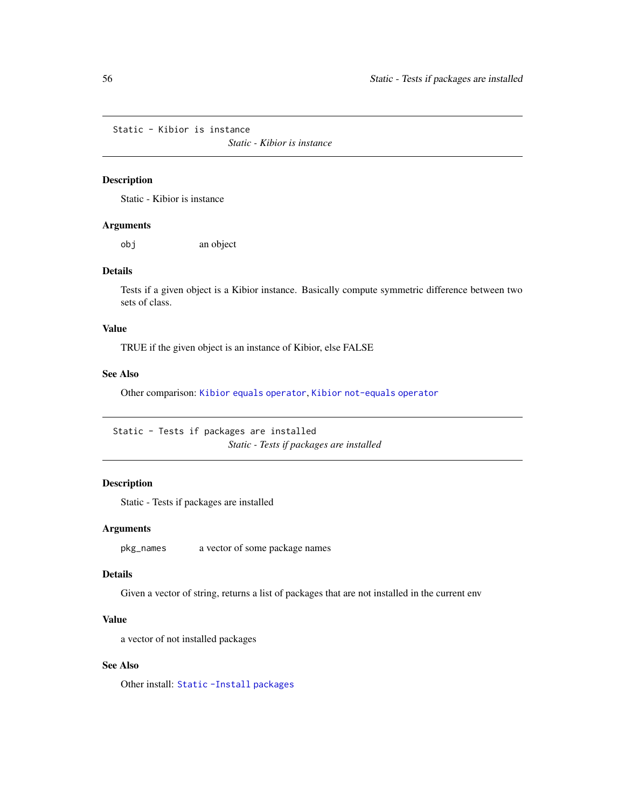<span id="page-55-1"></span><span id="page-55-0"></span>Static - Kibior is instance

*Static - Kibior is instance*

## Description

Static - Kibior is instance

#### Arguments

obj an object

## Details

Tests if a given object is a Kibior instance. Basically compute symmetric difference between two sets of class.

#### Value

TRUE if the given object is an instance of Kibior, else FALSE

## See Also

Other comparison: [Kibior equals operator](#page-52-1), [Kibior not-equals operator](#page-53-1)

<span id="page-55-2"></span>Static - Tests if packages are installed *Static - Tests if packages are installed*

## Description

Static - Tests if packages are installed

## Arguments

pkg\_names a vector of some package names

#### Details

Given a vector of string, returns a list of packages that are not installed in the current env

#### Value

a vector of not installed packages

#### See Also

Other install: [Static -Install packages](#page-54-1)